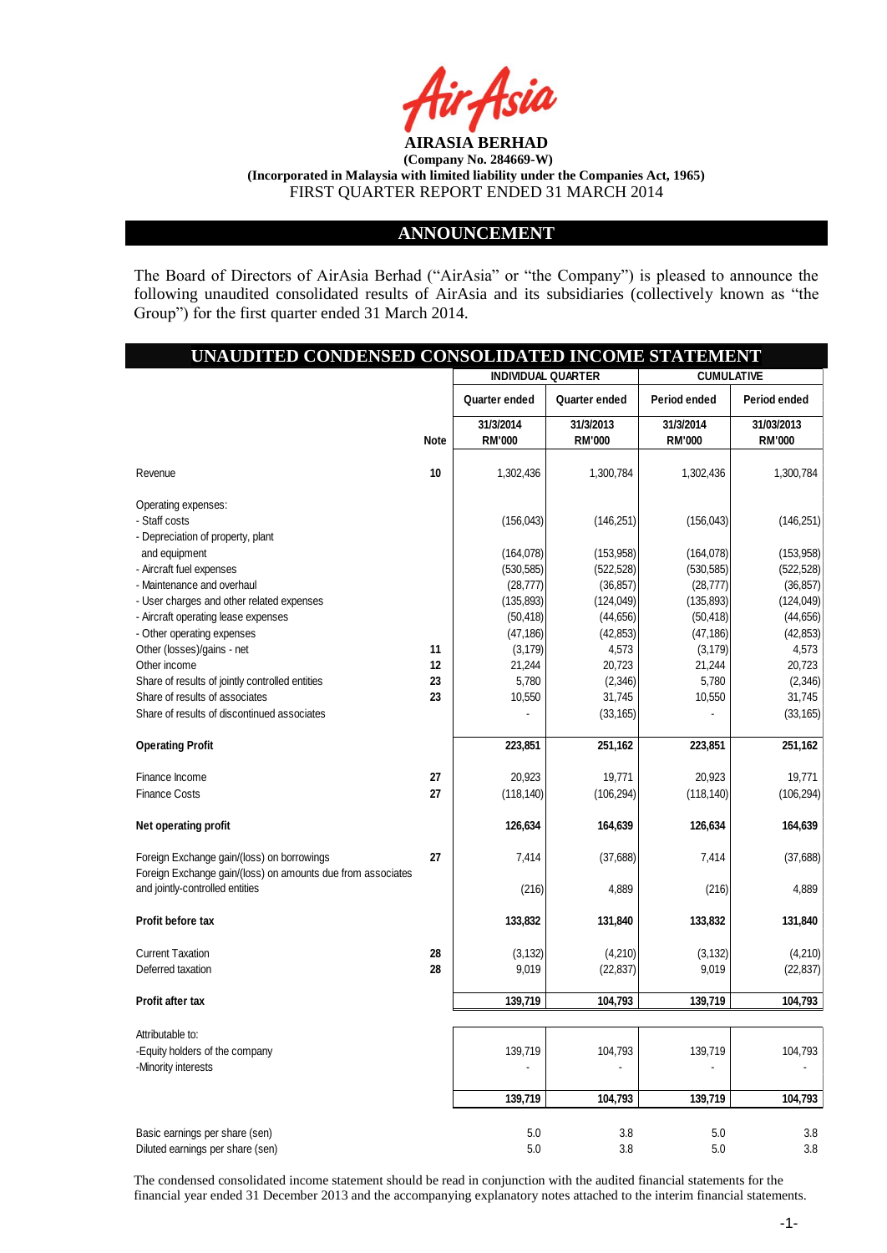

### **ANNOUNCEMENT**

The Board of Directors of AirAsia Berhad ("AirAsia" or "the Company") is pleased to announce the following unaudited consolidated results of AirAsia and its subsidiaries (collectively known as "the Group") for the first quarter ended 31 March 2014.

# **UNAUDITED CONDENSED CONSOLIDATED INCOME STATEMENT 31/3/2014 31/3/2013 31/3/2014 31/03/2013 Note RM'000 RM'000 RM'000 RM'000** Revenue **10** 1,302,436 1,300,784 1,302,436 1,300,784 Operating expenses: - Staff costs (156,043) (146,251) (156,043) (146,251) - Depreciation of property, plant and equipment (164,078) (164,078) (164,078) (164,078) (163,958) - Aircraft fuel expenses (530,585) (522,528) (530,585) (522,528) - Maintenance and overhaul (36,857) (36,857) (36,857) (36,857) (36,857) (36,857 - User charges and other related expenses (135,893) (135,893) (124,049) (135,893) (124,049) - Aircraft operating lease expenses (50,418) (50,418) (44,656) (50,418) (44,656) (50,418) (44,656 - Other operating expenses (47,186) (47,186) (47,186) (42,853) (47,186) (47,186) (47,186) Other (losses)/gains - net **11** (3,179) 4,573 (3,179) 4,573 (3,179) Other income **12** 21,244 20,723 21,244 20,723 Share of results of jointly controlled entities **23 23 23 23 23 23 236 2,346 2,346 2,346 2,346** Share of results of associates **23** 23 23 31,745 **21,745** 31,745 Share of results of discontinued associates - (33,165) - (33,165) - (33,165) - (33,165) **Operating Profit 251,162** 223,851 251,162 223,851 251,162 223,851 251,162 Finance Income **27** 20,923 19,771 20,923 19,771 Finance Costs **27** (118,140) (106,294) (118,140) (106,294) **Net operating profit 126,639 126,634 126,634 164,639 126,634 164,639 126,634 164,639 164,639** Foreign Exchange gain/(loss) on borrowings **27** 7,414 (37,688) 7,414 (37,688) Foreign Exchange gain/(loss) on amounts due from associates and jointly-controlled entities (216) 4,889 (216) 4,889 (216) 4,889 **Profit before tax 133,832 131,840 133,832 131,840** Current Taxation **28** (3,132) (4,210) (3,132) (4,210) Deferred taxation **28** 9,019 (22,837) 9,019 (22,837) **Profit after tax 139,719 104,793 139,719 104,793** Attributable to: -Equity holders of the company 139,719 104,793 139,719 104,793 139,719 139,719 104,793 -Minority interests  **139,719 104,793 139,719 104,793** Basic earnings per share (sen) 6.8 September 2014 1.8 September 2014 1.8 September 2014 1.8 September 2014 1.8 September 2014 1.8 September 2014 1.8 September 2014 1.8 September 2014 1.8 September 2014 1.8 September 2014 1 **INDIVIDUAL QUARTER CUMULATIVE Quarter ended Quarter ended Period ended Period ended**

The condensed consolidated income statement should be read in conjunction with the audited financial statements for the financial year ended 31 December 2013 and the accompanying explanatory notes attached to the interim financial statements.

Diluted earnings per share (sen) 6.8 5.0 5.0 5.0 5.0 5.0 5.0 5.1 3.8 5.0 5.0 5.1 3.8 5.0 5.1 3.8 5.0 5.1 3.8 5.1 3.8 5.1 3.8 5.1 3.8 5.1 3.8 5.1 3.8 5.1 3.8 5.1 3.8 5.1 3.8 5.1 3.8 5.1 3.8 5.1 3.8 5.1 3.8 5.1 3.8 5.1 3.8 5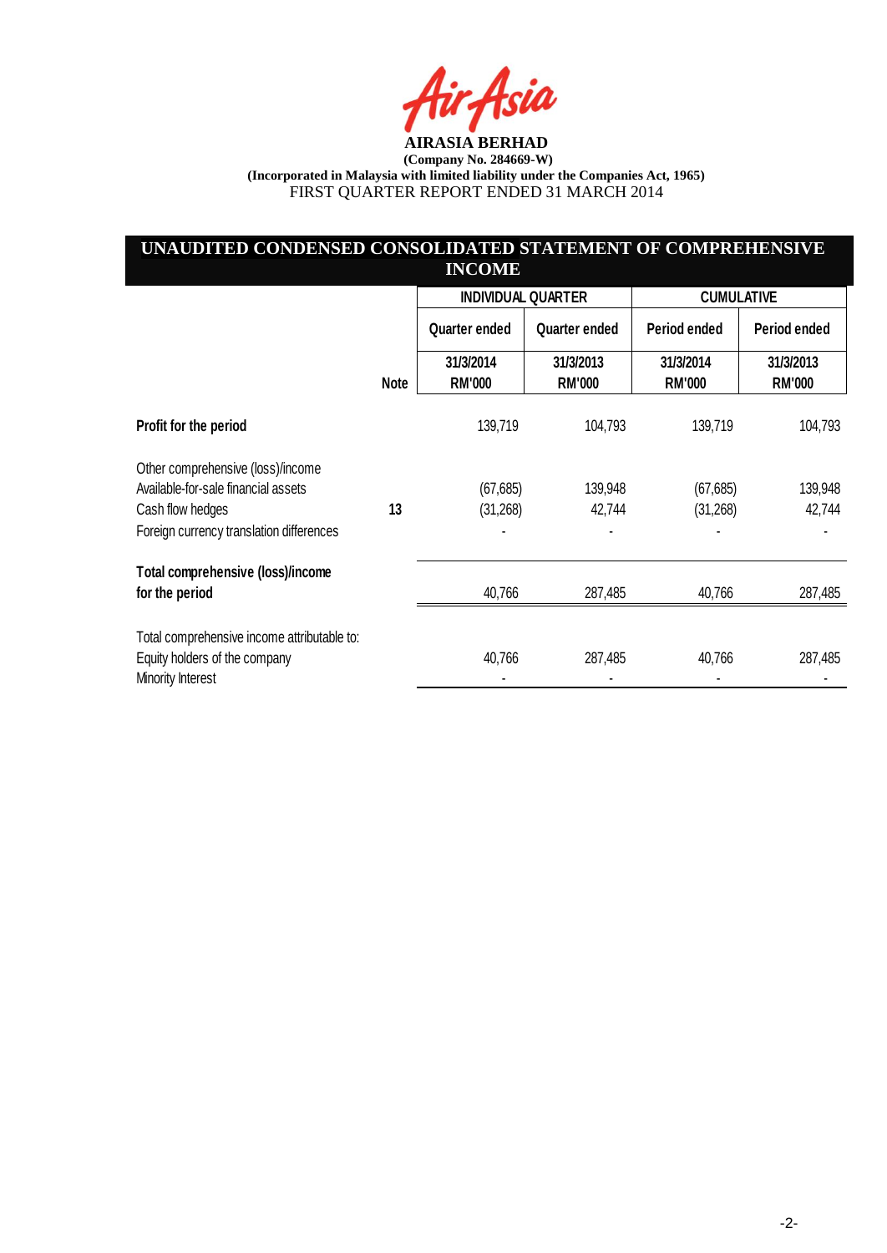ia

# **UNAUDITED CONDENSED CONSOLIDATED STATEMENT OF COMPREHENSIVE INCOME**

|                                                    |             | <b>INDIVIDUAL QUARTER</b>  |                            | <b>CUMULATIVE</b>          |                            |
|----------------------------------------------------|-------------|----------------------------|----------------------------|----------------------------|----------------------------|
|                                                    |             | Quarter ended              | Quarter ended              | Period ended               | Period ended               |
|                                                    | <b>Note</b> | 31/3/2014<br><b>RM'000</b> | 31/3/2013<br><b>RM'000</b> | 31/3/2014<br><b>RM'000</b> | 31/3/2013<br><b>RM'000</b> |
| Profit for the period                              |             | 139,719                    | 104,793                    | 139,719                    | 104,793                    |
| Other comprehensive (loss)/income                  |             |                            |                            |                            |                            |
| Available-for-sale financial assets                |             | (67, 685)                  | 139,948                    | (67, 685)                  | 139,948                    |
| Cash flow hedges                                   | 13          | (31,268)                   | 42,744                     | (31,268)                   | 42,744                     |
| Foreign currency translation differences           |             |                            |                            |                            |                            |
| Total comprehensive (loss)/income                  |             |                            |                            |                            |                            |
| for the period                                     |             | 40,766                     | 287,485                    | 40,766                     | 287,485                    |
| Total comprehensive income attributable to:        |             |                            |                            |                            |                            |
| Equity holders of the company<br>Minority Interest |             | 40,766                     | 287,485                    | 40,766                     | 287,485                    |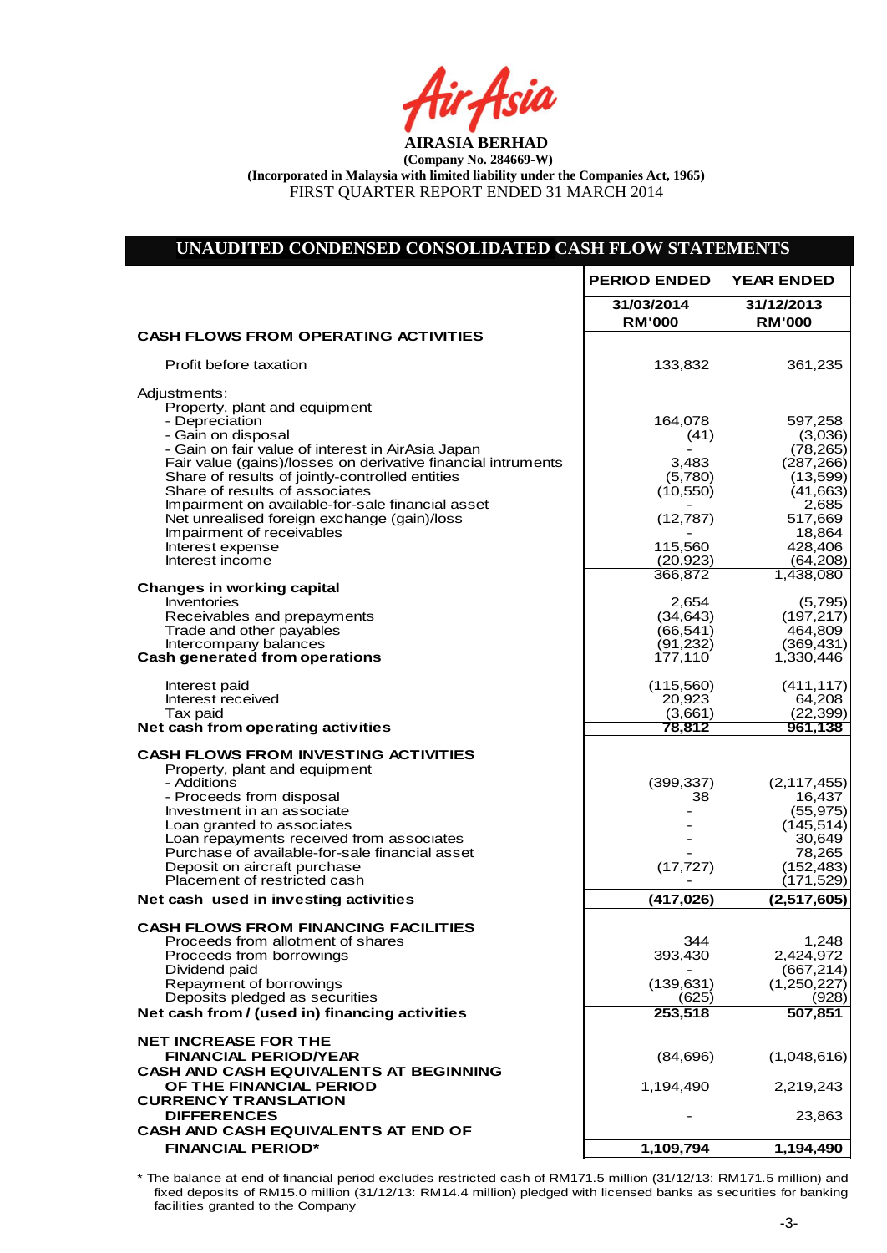Air<sub>t</sub>Asia

#### **UNAUDITED CONDENSED CONSOLIDATED CASH FLOW STATEMENTS 31/03/2014 31/12/2013 RM'000 RM'000 CASH FLOWS FROM OPERATING ACTIVITIES** Profit before taxation and the set of the set of the set of the set of the set of the set of the set of the set of the set of the set of the set of the set of the set of the set of the set of the set of the set of the set Adiustments: Property, plant and equipment - Depreciation 164,078 597,258 - Gain on disposal (41) (3,036) - Gain on fair value of interest in AirAsia Japan<br>Fair value (gains)/losses on derivative financial intruments 3,483 (287,266) Fair value (gains)/losses on derivative financial intruments  $(287,266)$ <br>Share of results of jointly-controlled entities (5,780) (13,599) Share of results of jointly-controlled entities Share of results of associates (10,550) (41,663) Impairment on available-for-sale financial asset 2,685<br>(12,787) 517,669 Net unrealised foreign exchange (gain)/loss (12,787) 517,669<br>Impairment of receivables (18,864 Impairment of receivables and the contract of receivables and the contract of the contract of the contract of the contract of the contract of the contract of the contract of the contract of the contract of the contract of Interest expense 115,560 428,406 428,406 428,406 428,406 428,406 428,406 428,406 428,406 428,406 428,406 4.208 Interest income (20,923) (64,208)<br>366.872 (1.438.080) (64,208) 366,872 **Changes in working capital** Inventories  $2,654$  (5,795) Inventories (5,795)<br>
Receivables and prepayments (34,643) (197,217)<br>
Trade and other payables (66,541) (464,809 Trade and other payables  $|$  (66,541)  $|$  464,809 (66,541)  $|$  464,809 (166,541)  $|$  464,809 (166,541)  $|$  464,809 (166,541)  $|$  464,809 (169,431) Intercompany balances (91,232) (369,431) **Cash generated from operations** 177,110 1,330,446 Interest paid (115,560) (411,117) Interest received 20,923 64,208<br>
Tax paid (3,661) (22,399)  $\begin{array}{|c|c|c|c|c|}\hline \text{Tax paid} & (3,661) & (22,399) \hline \end{array}$ **Net cash from operating activities the Contract of Contract of Contract Act of Contract Act of Contract Act of Contract Act of Contract Act of Contract Act of Contract Act of Contract Act of Contract Act of Contract Act o CASH FLOWS FROM INVESTING ACTIVITIES** Property, plant and equipment<br>- Additions - Additions (399,337) (2,117,455) Proceeds from disposal and the set of the set of the set of the set of the set of the set of the set of the set of the set of the set of the set of the set of the set of the set of the set of the set of the set of the set Investment in an associate  $\begin{array}{|c|c|c|c|c|c|}\n\hline\n\text{I} & & & - & \text{(55,975)} \\
\text{Lean granted to associates} & & & & - & \text{(145,514)}\n\hline\n\end{array}$ Loan granted to associates  $\begin{array}{ccc} \text{Loan granted to associate} & \text{if } 45,514 \text{ and } 49,649 \end{array}$ Loan repayments received from associates **Accord 1999 12:30,649**<br>Purchase of available-for-sale financial asset **1999 12:30 13:30 13:30 13:30 13:30 13:30 13:30 13:30 13:30 13:30** Purchase of available-for-sale financial asset  $\begin{array}{ccc} \text{Puro} & & \text{Puro} \\ \text{Deposit on aircraft purchase} & & \text{Puro} \end{array}$  (17,727) Deposit on aircraft purchase (17,727) (152,483)<br>Placement of restricted cash (171,529) (171,529) Placement of restricted cash **Net cash used in investing activities the cash cash of the cash of the cash of the cash cash of the cash of the cash of the cash of the cash of the cash of the cash of the cash of the cash of the cash of the cash of the c CASH FLOWS FROM FINANCING FACILITIES** Proceeds from allotment of shares  $\begin{array}{|c|c|c|c|c|c|c|}\n\hline\n\text{Proceeds from borrowing} & & & & & 344 & & 1,248 \\
\hline\n\end{array}$ Proceeds from borrowings and the set of the set of the set of the set of the set of the set of the SAS Dividend paid  $(667,214)$ Dividend paid  $\begin{bmatrix} 667,214 \end{bmatrix}$ <br>
Repayment of borrowings (139,631) (1,250,227) Repayment of borrowings (139,631) (139,631) (1,250,227)<br>Deposits pledged as securities (625) (628) Deposits pledged as securities (625) (928)<br>
cash from / (used in) financing activities (253,518 (927,851) **Net cash from / (used in) financing activities 1997, 1998, 1998, 1998, 1998, 1998, 1998, 1998, 1998, 1998, 199 NET INCREASE FOR THE FINANCIAL PERIOD/YEAR** (84,696) (1,048,616) **CASH AND CASH EQUIVALENTS AT BEGINNING OF THE FINANCIAL PERIOD 1.194.490 2.219.243 CURRENCY TRANSLATION DIFFERENCES** 23,863 **CASH AND CASH EQUIVALENTS AT END OF FINANCIAL PERIOD\* 1,109,794 1,194,490 PERIOD ENDED YEAR ENDED**

Net Cash Flow (84,696) (1,024,753) (1,024,753) (1,024,753) (1,024,753) (1,024,753) (1,024,753) (1,024,753) (1,0 \* The balance at end of financial period excludes restricted cash of RM171.5 million (31/12/13: RM171.5 million) and fixed deposits of RM15.0 million (31/12/13: RM14.4 million) pledged with licensed banks as securities for banking facilities granted to the Company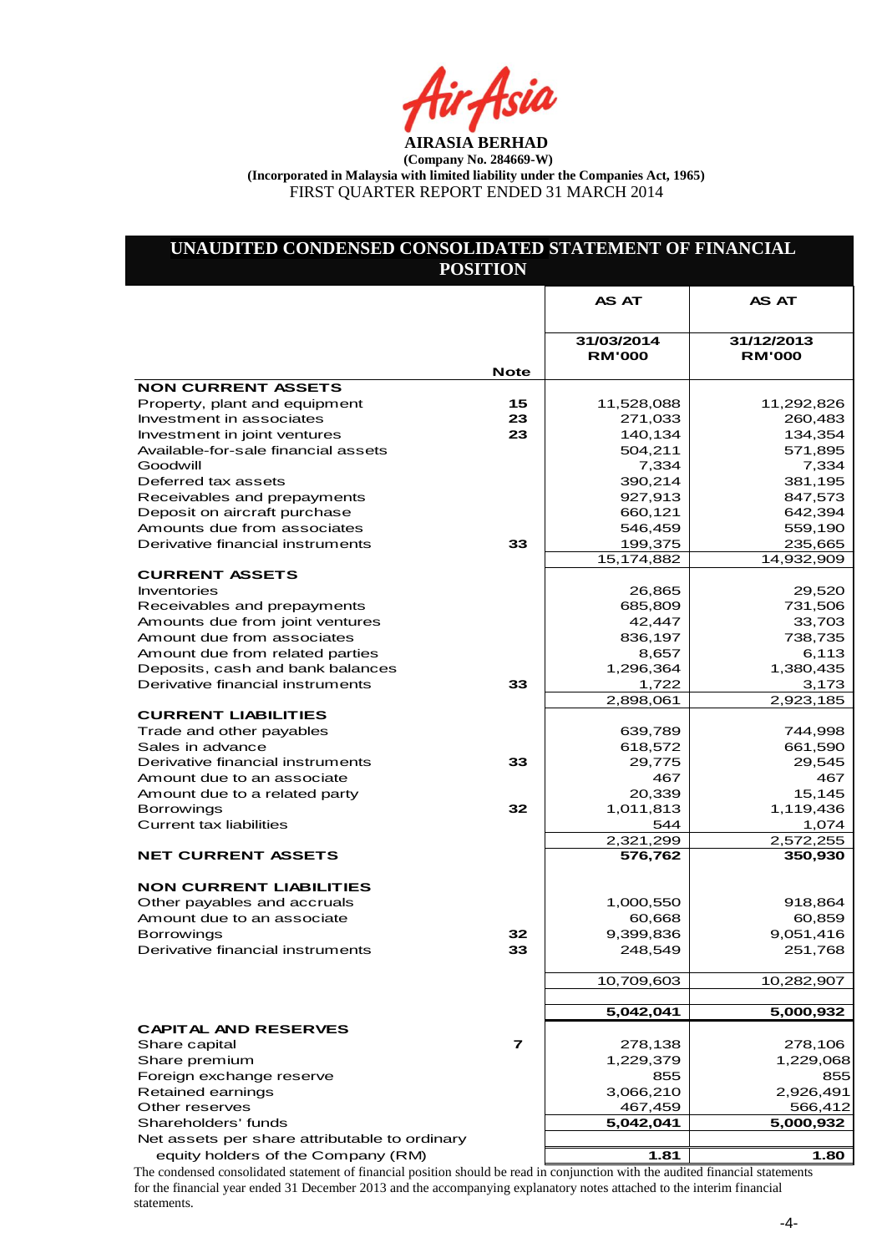ir Asia

# **UNAUDITED CONDENSED CONSOLIDATED STATEMENT OF FINANCIAL POSITION**

|                                                                 |             | <b>AS AT</b>                | <b>AS AT</b>                |
|-----------------------------------------------------------------|-------------|-----------------------------|-----------------------------|
|                                                                 |             |                             |                             |
|                                                                 |             | 31/03/2014<br><b>RM'000</b> | 31/12/2013<br><b>RM'000</b> |
|                                                                 | <b>Note</b> |                             |                             |
| <b>NON CURRENT ASSETS</b>                                       |             |                             |                             |
| Property, plant and equipment                                   | 15          | 11,528,088                  | 11,292,826                  |
| Investment in associates                                        | 23          | 271,033                     | 260,483                     |
| Investment in joint ventures                                    | 23          | 140,134                     | 134,354                     |
| Available-for-sale financial assets                             |             | 504,211                     | 571,895                     |
| Goodwill                                                        |             | 7,334                       | 7,334                       |
| Deferred tax assets                                             |             | 390,214                     | 381,195                     |
| Receivables and prepayments                                     |             | 927,913                     | 847,573                     |
| Deposit on aircraft purchase                                    |             | 660,121                     | 642,394                     |
| Amounts due from associates<br>Derivative financial instruments | 33          | 546,459                     | 559,190                     |
|                                                                 |             | 199,375                     | 235,665<br>14,932,909       |
| <b>CURRENT ASSETS</b>                                           |             | 15,174,882                  |                             |
| Inventories                                                     |             | 26,865                      | 29,520                      |
| Receivables and prepayments                                     |             | 685,809                     | 731,506                     |
| Amounts due from joint ventures                                 |             | 42,447                      | 33,703                      |
| Amount due from associates                                      |             | 836,197                     | 738,735                     |
| Amount due from related parties                                 |             | 8,657                       | 6,113                       |
| Deposits, cash and bank balances                                |             | 1,296,364                   | 1,380,435                   |
| Derivative financial instruments                                | 33          | 1,722                       | 3,173                       |
|                                                                 |             | 2,898,061                   | 2,923,185                   |
| <b>CURRENT LIABILITIES</b>                                      |             |                             |                             |
| Trade and other payables                                        |             | 639,789                     | 744,998                     |
| Sales in advance                                                |             | 618,572                     | 661,590                     |
| Derivative financial instruments                                | 33          | 29,775                      | 29,545                      |
| Amount due to an associate                                      |             | 467                         | 467                         |
| Amount due to a related party                                   |             | 20,339                      | 15,145                      |
| <b>Borrowings</b>                                               | 32          | 1,011,813                   | 1,119,436                   |
| <b>Current tax liabilities</b>                                  |             | 544                         | 1,074                       |
|                                                                 |             | 2,321,299                   | 2,572,255                   |
| <b>NET CURRENT ASSETS</b>                                       |             | 576,762                     | 350,930                     |
|                                                                 |             |                             |                             |
| <b>NON CURRENT LIABILITIES</b><br>Other payables and accruals   |             | 1,000,550                   |                             |
| Amount due to an associate                                      |             | 60,668                      | 918,864<br>60,859           |
| <b>Borrowings</b>                                               | 32          | 9,399,836                   | 9,051,416                   |
| Derivative financial instruments                                | 33          | 248,549                     | 251,768                     |
|                                                                 |             |                             |                             |
|                                                                 |             | 10,709,603                  | 10,282,907                  |
|                                                                 |             |                             |                             |
|                                                                 |             | 5,042,041                   | 5,000,932                   |
| <b>CAPITAL AND RESERVES</b>                                     |             |                             |                             |
| Share capital                                                   | 7           | 278,138                     | 278,106                     |
| Share premium                                                   |             | 1,229,379                   | 1,229,068                   |
| Foreign exchange reserve                                        |             | 855                         | 855                         |
| Retained earnings                                               |             | 3,066,210                   | 2,926,491                   |
| Other reserves                                                  |             | 467,459                     | 566,412                     |
| Shareholders' funds                                             |             | 5,042,041                   | 5,000,932                   |
| Net assets per share attributable to ordinary                   |             |                             |                             |
| equity holders of the Company (RM)                              |             | 1.81                        | 1.80                        |

The condensed consolidated statement of financial position should be read in conjunction with the audited financial statements for the financial year ended 31 December 2013 and the accompanying explanatory notes attached to the interim financial statements.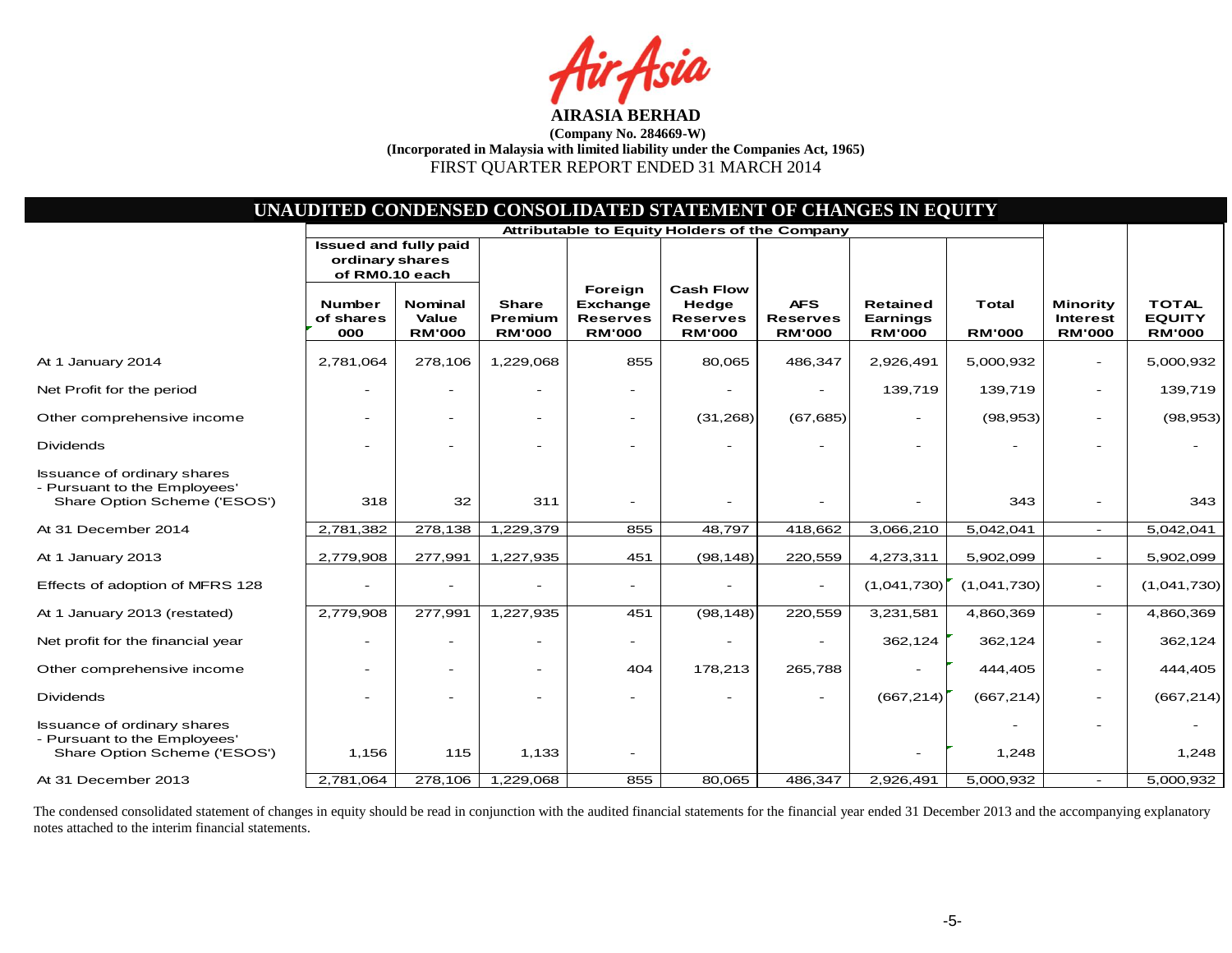sia

| UNAUDITED CONDENSED CONSOLIDATED STATEMENT OF CHANGES IN EQUITY                                    |                                                                   |                                          |                                          |                                                         |                                                               |                                                |                                              |                               |                                                     |                                                |
|----------------------------------------------------------------------------------------------------|-------------------------------------------------------------------|------------------------------------------|------------------------------------------|---------------------------------------------------------|---------------------------------------------------------------|------------------------------------------------|----------------------------------------------|-------------------------------|-----------------------------------------------------|------------------------------------------------|
|                                                                                                    | <b>Attributable to Equity Holders of the Company</b>              |                                          |                                          |                                                         |                                                               |                                                |                                              |                               |                                                     |                                                |
|                                                                                                    | <b>Issued and fully paid</b><br>ordinary shares<br>of RM0.10 each |                                          |                                          |                                                         |                                                               |                                                |                                              |                               |                                                     |                                                |
|                                                                                                    | <b>Number</b><br>of shares<br>000                                 | <b>Nominal</b><br>Value<br><b>RM'000</b> | <b>Share</b><br>Premium<br><b>RM'000</b> | Foreign<br>Exchange<br><b>Reserves</b><br><b>RM'000</b> | <b>Cash Flow</b><br>Hedge<br><b>Reserves</b><br><b>RM'000</b> | <b>AFS</b><br><b>Reserves</b><br><b>RM'000</b> | <b>Retained</b><br>Earnings<br><b>RM'000</b> | <b>Total</b><br><b>RM'000</b> | <b>Minority</b><br><b>Interest</b><br><b>RM'000</b> | <b>TOTAL</b><br><b>EQUITY</b><br><b>RM'000</b> |
| At 1 January 2014                                                                                  | 2,781,064                                                         | 278,106                                  | 1,229,068                                | 855                                                     | 80,065                                                        | 486,347                                        | 2,926,491                                    | 5,000,932                     | $\overline{\phantom{a}}$                            | 5,000,932                                      |
| Net Profit for the period                                                                          | $\overline{\phantom{a}}$                                          | $\overline{\phantom{a}}$                 |                                          |                                                         |                                                               | $\overline{\phantom{a}}$                       | 139,719                                      | 139,719                       | $\overline{\phantom{a}}$                            | 139,719                                        |
| Other comprehensive income                                                                         |                                                                   | $\overline{\phantom{a}}$                 |                                          | $\overline{\phantom{a}}$                                | (31, 268)                                                     | (67, 685)                                      |                                              | (98, 953)                     | $\overline{\phantom{a}}$                            | (98, 953)                                      |
| <b>Dividends</b>                                                                                   |                                                                   |                                          |                                          |                                                         |                                                               |                                                |                                              |                               |                                                     |                                                |
| <b>Issuance of ordinary shares</b><br>- Pursuant to the Employees'<br>Share Option Scheme ('ESOS') | 318                                                               | 32                                       | 311                                      |                                                         |                                                               |                                                |                                              | 343                           |                                                     | 343                                            |
| At 31 December 2014                                                                                | 2,781,382                                                         | 278,138                                  | 1,229,379                                | 855                                                     | 48,797                                                        | 418,662                                        | 3,066,210                                    | 5,042,041                     | $\overline{\phantom{a}}$                            | 5,042,041                                      |
| At 1 January 2013                                                                                  | 2,779,908                                                         | 277,991                                  | 1,227,935                                | 451                                                     | (98, 148)                                                     | 220,559                                        | 4,273,311                                    | 5,902,099                     | $\sim$                                              | 5,902,099                                      |
| Effects of adoption of MFRS 128                                                                    | $\overline{\phantom{a}}$                                          |                                          |                                          |                                                         |                                                               |                                                | (1,041,730)                                  | (1,041,730)                   | $\overline{\phantom{a}}$                            | (1,041,730)                                    |
| At 1 January 2013 (restated)                                                                       | 2,779,908                                                         | 277,991                                  | 1,227,935                                | 451                                                     | (98, 148)                                                     | 220,559                                        | 3,231,581                                    | 4,860,369                     | $\sim$                                              | 4,860,369                                      |
| Net profit for the financial year                                                                  | $\equiv$                                                          |                                          |                                          |                                                         |                                                               |                                                | 362,124                                      | 362,124                       | $\overline{\phantom{a}}$                            | 362,124                                        |
| Other comprehensive income                                                                         | $\overline{\phantom{0}}$                                          | $\overline{\phantom{0}}$                 |                                          | 404                                                     | 178,213                                                       | 265,788                                        |                                              | 444,405                       | $\overline{\phantom{a}}$                            | 444,405                                        |
| <b>Dividends</b>                                                                                   |                                                                   |                                          |                                          |                                                         |                                                               |                                                | (667, 214)                                   | (667, 214)                    | $\overline{\phantom{a}}$                            | (667, 214)                                     |
| <b>Issuance of ordinary shares</b><br>- Pursuant to the Employees'<br>Share Option Scheme ('ESOS') | 1,156                                                             | 115                                      | 1,133                                    |                                                         |                                                               |                                                |                                              | 1,248                         |                                                     | 1,248                                          |
| At 31 December 2013                                                                                | 2,781,064                                                         | 278,106                                  | 1,229,068                                | 855                                                     | 80,065                                                        | 486,347                                        | 2,926,491                                    | 5,000,932                     |                                                     | 5,000,932                                      |

The condensed consolidated statement of changes in equity should be read in conjunction with the audited financial statements for the financial year ended 31 December 2013 and the accompanying explanatory notes attached to the interim financial statements.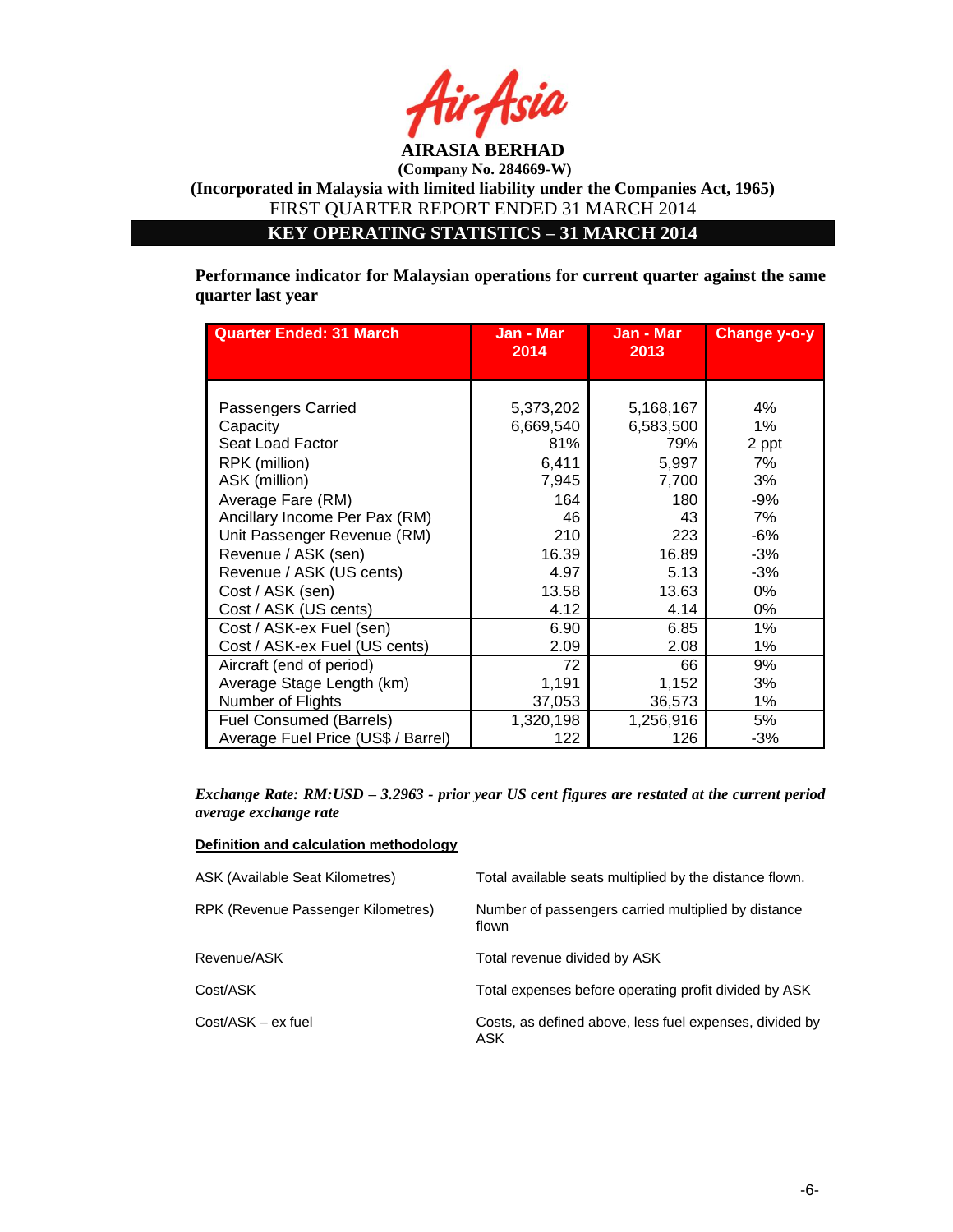

# **KEY OPERATING STATISTICS – 31 MARCH 2014**

**Performance indicator for Malaysian operations for current quarter against the same quarter last year**

| <b>Quarter Ended: 31 March</b>     | Jan - Mar<br>2014 | Jan - Mar<br>2013 | Change y-o-y |
|------------------------------------|-------------------|-------------------|--------------|
|                                    |                   |                   |              |
| Passengers Carried                 | 5,373,202         | 5,168,167         | 4%           |
| Capacity                           | 6,669,540         | 6,583,500         | 1%           |
| Seat Load Factor                   | 81%               | 79%               | 2 ppt        |
| RPK (million)                      | 6,411             | 5,997             | 7%           |
| ASK (million)                      | 7,945             | 7,700             | 3%           |
| Average Fare (RM)                  | 164               | 180               | -9%          |
| Ancillary Income Per Pax (RM)      | 46                | 43                | 7%           |
| Unit Passenger Revenue (RM)        | 210               | 223               | $-6%$        |
| Revenue / ASK (sen)                | 16.39             | 16.89             | $-3%$        |
| Revenue / ASK (US cents)           | 4.97              | 5.13              | $-3%$        |
| Cost / ASK (sen)                   | 13.58             | 13.63             | $0\%$        |
| Cost / ASK (US cents)              | 4.12              | 4.14              | 0%           |
| Cost / ASK-ex Fuel (sen)           | 6.90              | 6.85              | 1%           |
| Cost / ASK-ex Fuel (US cents)      | 2.09              | 2.08              | 1%           |
| Aircraft (end of period)           | 72                | 66                | 9%           |
| Average Stage Length (km)          | 1,191             | 1,152             | 3%           |
| Number of Flights                  | 37,053            | 36,573            | 1%           |
| <b>Fuel Consumed (Barrels)</b>     | 1,320,198         | 1,256,916         | 5%           |
| Average Fuel Price (US\$ / Barrel) | 122               | 126               | $-3%$        |

#### *Exchange Rate: RM:USD – 3.2963 - prior year US cent figures are restated at the current period average exchange rate*

### **Definition and calculation methodology**

| ASK (Available Seat Kilometres)    | Total available seats multiplied by the distance flown.        |
|------------------------------------|----------------------------------------------------------------|
| RPK (Revenue Passenger Kilometres) | Number of passengers carried multiplied by distance<br>flown   |
| Revenue/ASK                        | Total revenue divided by ASK                                   |
| Cost/ASK                           | Total expenses before operating profit divided by ASK          |
| Cost/ASK - ex fuel                 | Costs, as defined above, less fuel expenses, divided by<br>ASK |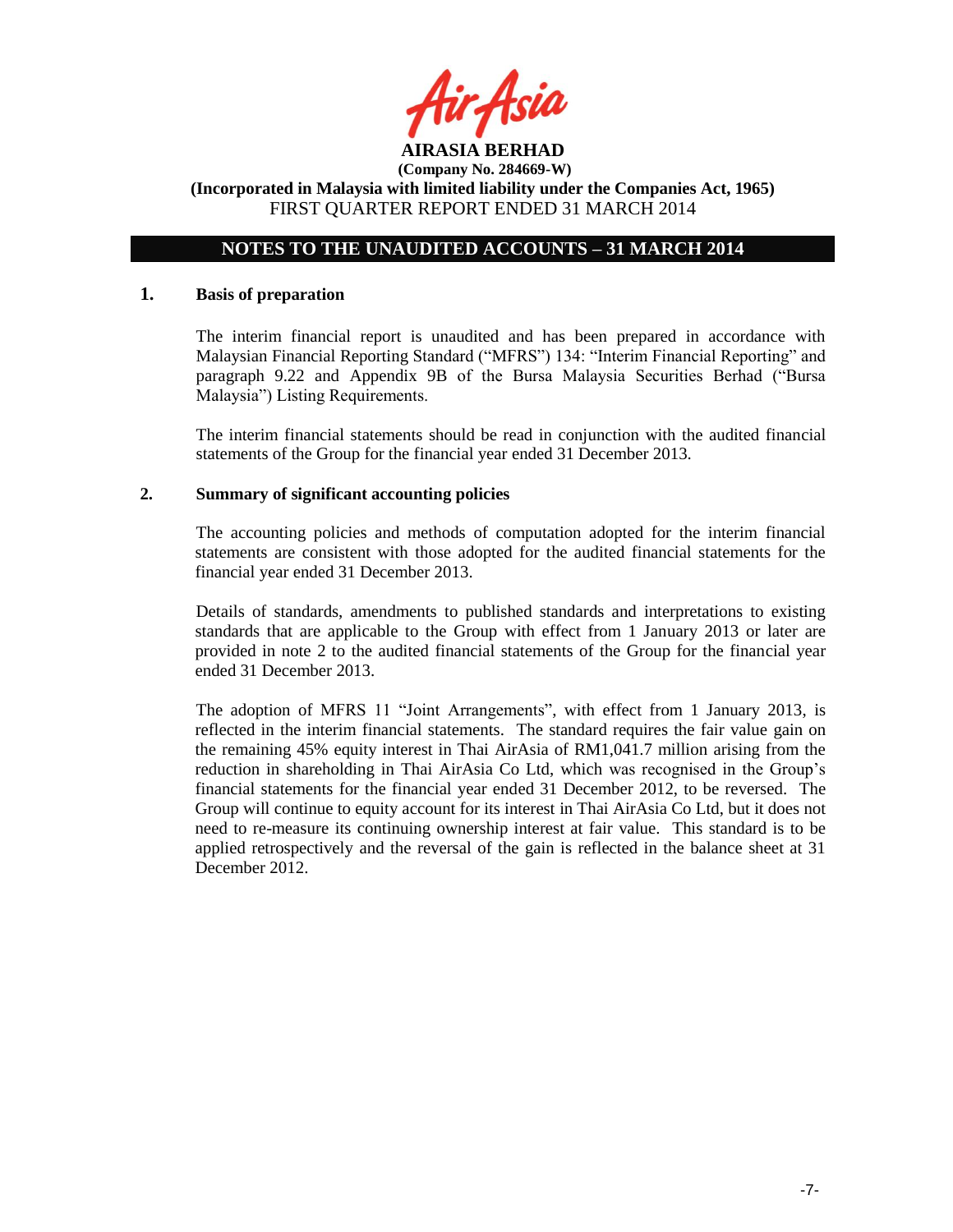

# **NOTES TO THE UNAUDITED ACCOUNTS – 31 MARCH 2014**

### **1. Basis of preparation**

The interim financial report is unaudited and has been prepared in accordance with Malaysian Financial Reporting Standard ("MFRS") 134: "Interim Financial Reporting" and paragraph 9.22 and Appendix 9B of the Bursa Malaysia Securities Berhad ("Bursa Malaysia") Listing Requirements.

The interim financial statements should be read in conjunction with the audited financial statements of the Group for the financial year ended 31 December 2013.

### **2. Summary of significant accounting policies**

The accounting policies and methods of computation adopted for the interim financial statements are consistent with those adopted for the audited financial statements for the financial year ended 31 December 2013.

Details of standards, amendments to published standards and interpretations to existing standards that are applicable to the Group with effect from 1 January 2013 or later are provided in note 2 to the audited financial statements of the Group for the financial year ended 31 December 2013.

The adoption of MFRS 11 "Joint Arrangements", with effect from 1 January 2013, is reflected in the interim financial statements. The standard requires the fair value gain on the remaining 45% equity interest in Thai AirAsia of RM1,041.7 million arising from the reduction in shareholding in Thai AirAsia Co Ltd, which was recognised in the Group"s financial statements for the financial year ended 31 December 2012, to be reversed. The Group will continue to equity account for its interest in Thai AirAsia Co Ltd, but it does not need to re-measure its continuing ownership interest at fair value. This standard is to be applied retrospectively and the reversal of the gain is reflected in the balance sheet at 31 December 2012.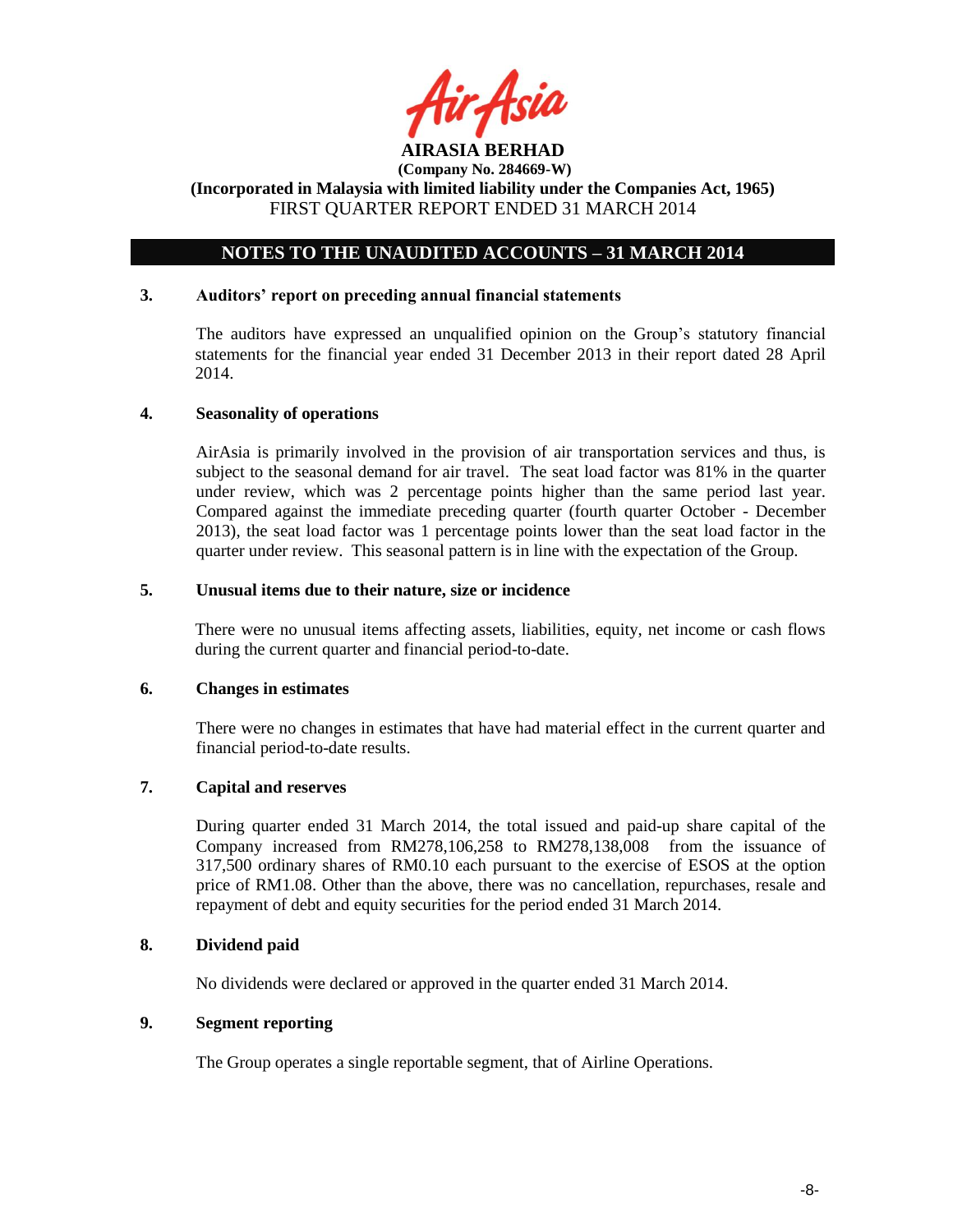

# **NOTES TO THE UNAUDITED ACCOUNTS – 31 MARCH 2014**

## **3. Auditors' report on preceding annual financial statements**

The auditors have expressed an unqualified opinion on the Group"s statutory financial statements for the financial year ended 31 December 2013 in their report dated 28 April 2014.

### **4. Seasonality of operations**

AirAsia is primarily involved in the provision of air transportation services and thus, is subject to the seasonal demand for air travel. The seat load factor was 81% in the quarter under review, which was 2 percentage points higher than the same period last year. Compared against the immediate preceding quarter (fourth quarter October - December 2013), the seat load factor was 1 percentage points lower than the seat load factor in the quarter under review. This seasonal pattern is in line with the expectation of the Group.

# **5. Unusual items due to their nature, size or incidence**

There were no unusual items affecting assets, liabilities, equity, net income or cash flows during the current quarter and financial period-to-date.

#### **6. Changes in estimates**

There were no changes in estimates that have had material effect in the current quarter and financial period-to-date results.

# **7. Capital and reserves**

During quarter ended 31 March 2014, the total issued and paid-up share capital of the Company increased from RM278,106,258 to RM278,138,008 from the issuance of 317,500 ordinary shares of RM0.10 each pursuant to the exercise of ESOS at the option price of RM1.08. Other than the above, there was no cancellation, repurchases, resale and repayment of debt and equity securities for the period ended 31 March 2014.

## **8. Dividend paid**

No dividends were declared or approved in the quarter ended 31 March 2014.

## **9. Segment reporting**

The Group operates a single reportable segment, that of Airline Operations.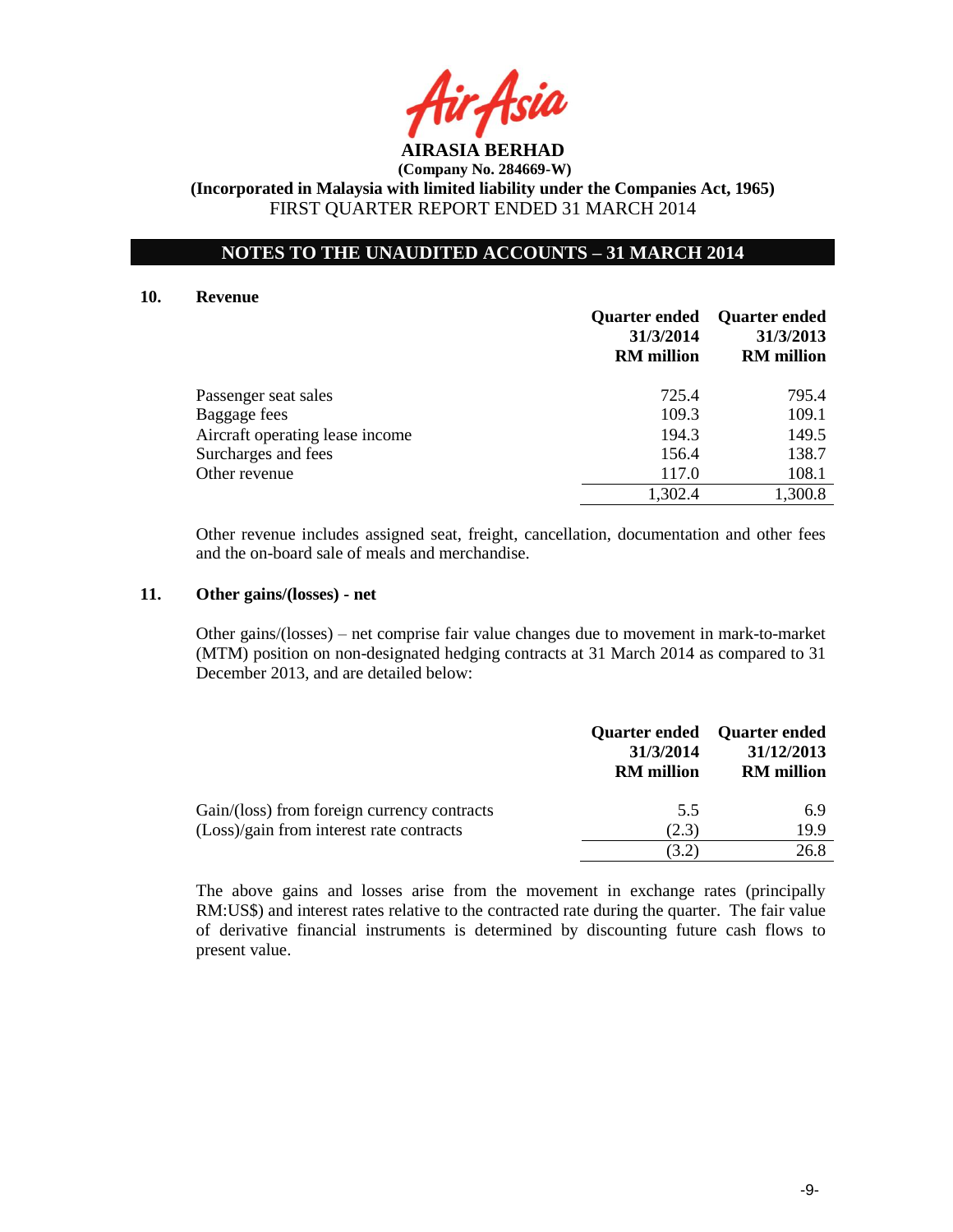

# **NOTES TO THE UNAUDITED ACCOUNTS – 31 MARCH 2014**

#### **10. Revenue**

|                                 | <b>Quarter ended</b><br>31/3/2014<br><b>RM</b> million | <b>Quarter ended</b><br>31/3/2013<br><b>RM</b> million |
|---------------------------------|--------------------------------------------------------|--------------------------------------------------------|
| Passenger seat sales            | 725.4                                                  | 795.4                                                  |
| Baggage fees                    | 109.3                                                  | 109.1                                                  |
| Aircraft operating lease income | 194.3                                                  | 149.5                                                  |
| Surcharges and fees             | 156.4                                                  | 138.7                                                  |
| Other revenue                   | 117.0                                                  | 108.1                                                  |
|                                 | 1,302.4                                                | 1,300.8                                                |

Other revenue includes assigned seat, freight, cancellation, documentation and other fees and the on-board sale of meals and merchandise.

### **11. Other gains/(losses) - net**

Other gains/(losses) – net comprise fair value changes due to movement in mark-to-market (MTM) position on non-designated hedging contracts at 31 March 2014 as compared to 31 December 2013, and are detailed below:

|                                                                                         | 31/3/2014<br><b>RM</b> million | Quarter ended Quarter ended<br>31/12/2013<br><b>RM</b> million |
|-----------------------------------------------------------------------------------------|--------------------------------|----------------------------------------------------------------|
| Gain/(loss) from foreign currency contracts<br>(Loss)/gain from interest rate contracts | 5.5<br>(2.3)                   | 6.9<br>19.9                                                    |
|                                                                                         | (3.2)                          | 26.8                                                           |

The above gains and losses arise from the movement in exchange rates (principally RM:US\$) and interest rates relative to the contracted rate during the quarter. The fair value of derivative financial instruments is determined by discounting future cash flows to present value.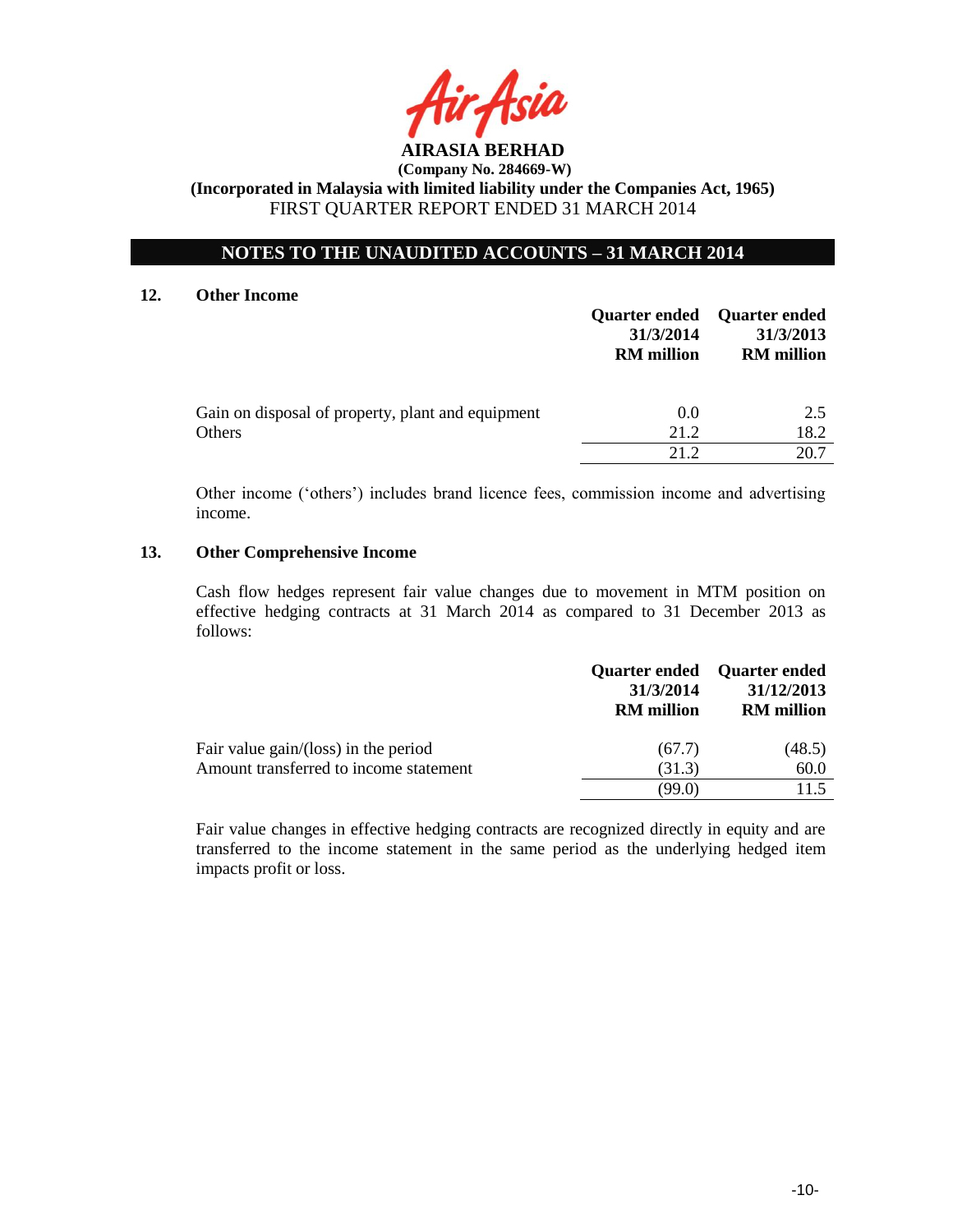

# **NOTES TO THE UNAUDITED ACCOUNTS – 31 MARCH 2014**

### **12. Other Income**

|                                                             | 31/3/2014<br><b>RM</b> million | <b>Quarter ended</b> Quarter ended<br>31/3/2013<br><b>RM</b> million |
|-------------------------------------------------------------|--------------------------------|----------------------------------------------------------------------|
| Gain on disposal of property, plant and equipment<br>Others | 0.0<br>21.2                    | 2.5<br>18.2                                                          |
|                                                             | 21.2                           | 20.7                                                                 |

Other income ("others") includes brand licence fees, commission income and advertising income.

### **13. Other Comprehensive Income**

Cash flow hedges represent fair value changes due to movement in MTM position on effective hedging contracts at 31 March 2014 as compared to 31 December 2013 as follows:

|                                        | 31/3/2014<br><b>RM</b> million | Quarter ended Quarter ended<br>31/12/2013<br><b>RM</b> million |
|----------------------------------------|--------------------------------|----------------------------------------------------------------|
| Fair value $gain/(loss)$ in the period | (67.7)                         | (48.5)                                                         |
| Amount transferred to income statement | (31.3)                         | 60.0                                                           |
|                                        | (99.0)                         | 115                                                            |

Fair value changes in effective hedging contracts are recognized directly in equity and are transferred to the income statement in the same period as the underlying hedged item impacts profit or loss.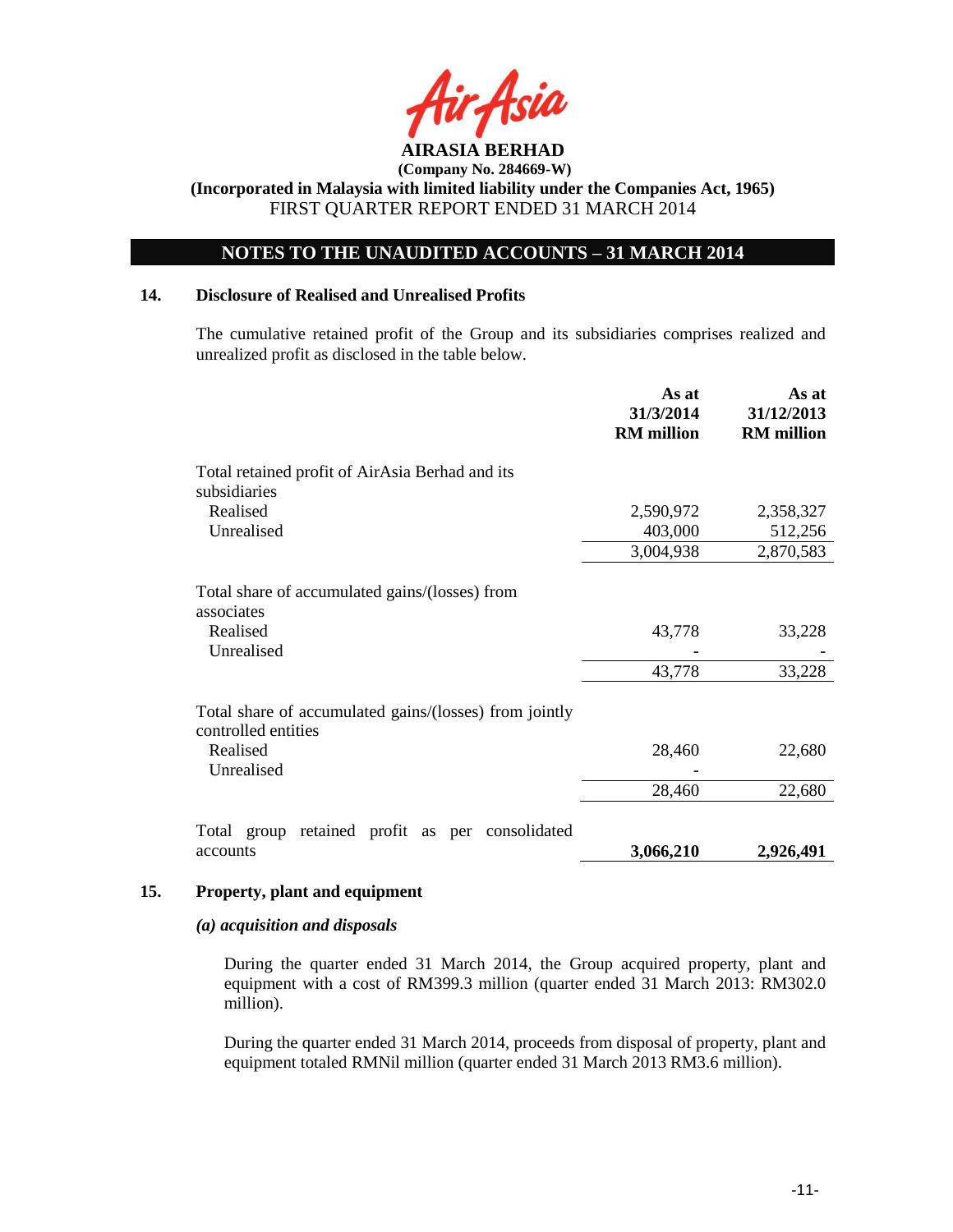

# **NOTES TO THE UNAUDITED ACCOUNTS – 31 MARCH 2014**

### **14. Disclosure of Realised and Unrealised Profits**

The cumulative retained profit of the Group and its subsidiaries comprises realized and unrealized profit as disclosed in the table below.

|                                                                                        | As at<br>31/3/2014<br><b>RM</b> million | As at<br>31/12/2013<br><b>RM</b> million |
|----------------------------------------------------------------------------------------|-----------------------------------------|------------------------------------------|
| Total retained profit of AirAsia Berhad and its<br>subsidiaries                        |                                         |                                          |
| Realised                                                                               | 2,590,972                               | 2,358,327                                |
| Unrealised                                                                             | 403,000                                 | 512,256                                  |
|                                                                                        | 3,004,938                               | 2,870,583                                |
| Total share of accumulated gains/(losses) from<br>associates<br>Realised<br>Unrealised | 43,778                                  | 33,228                                   |
|                                                                                        | 43,778                                  | 33,228                                   |
| Total share of accumulated gains/(losses) from jointly<br>controlled entities          |                                         |                                          |
| Realised<br>Unrealised                                                                 | 28,460                                  | 22,680                                   |
|                                                                                        | 28,460                                  | 22,680                                   |
| Total group retained profit as per consolidated                                        |                                         |                                          |
| accounts                                                                               | 3,066,210                               | 2,926,491                                |

#### **15. Property, plant and equipment**

### *(a) acquisition and disposals*

During the quarter ended 31 March 2014, the Group acquired property, plant and equipment with a cost of RM399.3 million (quarter ended 31 March 2013: RM302.0 million).

During the quarter ended 31 March 2014, proceeds from disposal of property, plant and equipment totaled RMNil million (quarter ended 31 March 2013 RM3.6 million).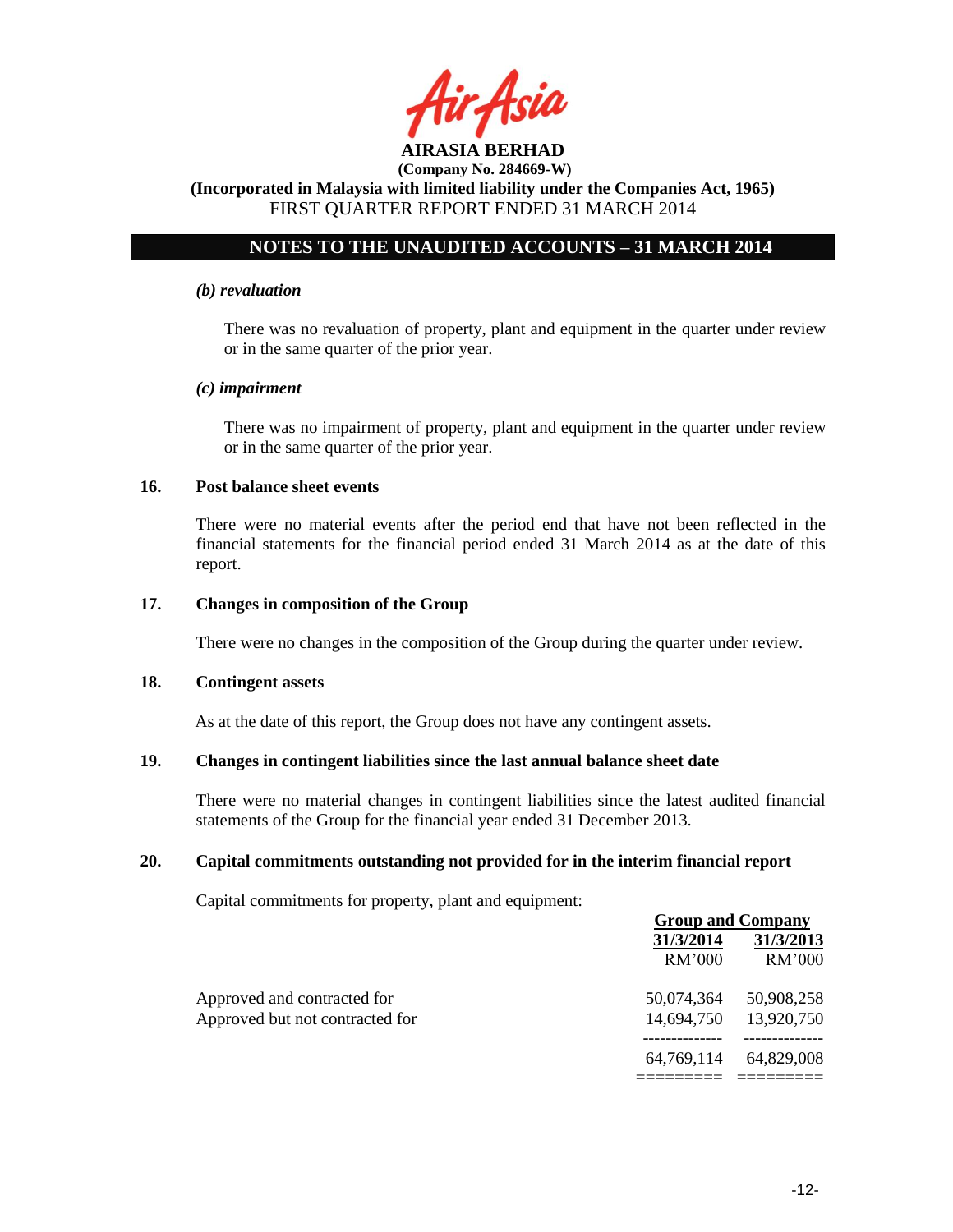

# **NOTES TO THE UNAUDITED ACCOUNTS – 31 MARCH 2014**

#### *(b) revaluation*

There was no revaluation of property, plant and equipment in the quarter under review or in the same quarter of the prior year.

### *(c) impairment*

There was no impairment of property, plant and equipment in the quarter under review or in the same quarter of the prior year.

### **16. Post balance sheet events**

There were no material events after the period end that have not been reflected in the financial statements for the financial period ended 31 March 2014 as at the date of this report.

### **17. Changes in composition of the Group**

There were no changes in the composition of the Group during the quarter under review.

#### **18. Contingent assets**

As at the date of this report, the Group does not have any contingent assets.

## **19. Changes in contingent liabilities since the last annual balance sheet date**

There were no material changes in contingent liabilities since the latest audited financial statements of the Group for the financial year ended 31 December 2013.

## **20. Capital commitments outstanding not provided for in the interim financial report**

Capital commitments for property, plant and equipment:

|                                 | <b>Group and Company</b> |            |  |
|---------------------------------|--------------------------|------------|--|
|                                 | 31/3/2014                | 31/3/2013  |  |
|                                 | RM'000                   | RM'000     |  |
| Approved and contracted for     | 50,074,364               | 50,908,258 |  |
| Approved but not contracted for | 14,694,750               | 13,920,750 |  |
|                                 | 64,769,114               | 64,829,008 |  |
|                                 |                          |            |  |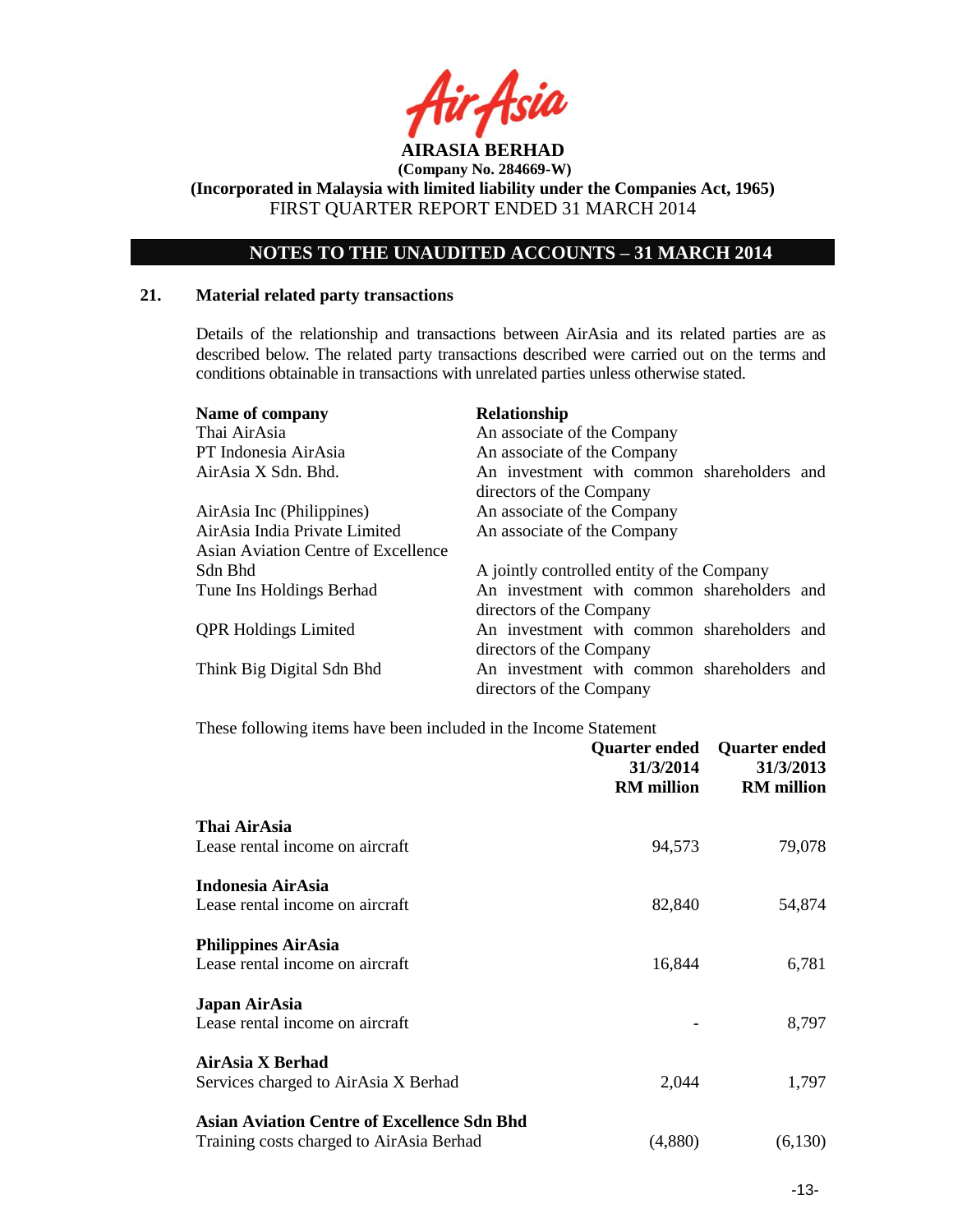

**(Company No. 284669-W) (Incorporated in Malaysia with limited liability under the Companies Act, 1965)**

FIRST QUARTER REPORT ENDED 31 MARCH 2014

# **NOTES TO THE UNAUDITED ACCOUNTS – 31 MARCH 2014**

# **21. Material related party transactions**

Details of the relationship and transactions between AirAsia and its related parties are as described below. The related party transactions described were carried out on the terms and conditions obtainable in transactions with unrelated parties unless otherwise stated.

| Name of company<br>Thai AirAsia<br>PT Indonesia AirAsia<br>AirAsia X Sdn. Bhd. | <b>Relationship</b><br>An associate of the Company<br>An associate of the Company<br>An investment with common shareholders and<br>directors of the Company |
|--------------------------------------------------------------------------------|-------------------------------------------------------------------------------------------------------------------------------------------------------------|
| AirAsia Inc (Philippines)                                                      | An associate of the Company                                                                                                                                 |
| AirAsia India Private Limited                                                  | An associate of the Company                                                                                                                                 |
| Asian Aviation Centre of Excellence                                            |                                                                                                                                                             |
| Sdn Bhd                                                                        | A jointly controlled entity of the Company                                                                                                                  |
| Tune Ins Holdings Berhad                                                       | An investment with common shareholders and                                                                                                                  |
|                                                                                | directors of the Company                                                                                                                                    |
| <b>QPR Holdings Limited</b>                                                    | An investment with common shareholders and                                                                                                                  |
|                                                                                | directors of the Company                                                                                                                                    |
| Think Big Digital Sdn Bhd                                                      | An investment with common shareholders and                                                                                                                  |
|                                                                                | directors of the Company                                                                                                                                    |

These following items have been included in the Income Statement

|                                                    | <b>Quarter ended</b><br>31/3/2014<br><b>RM</b> million | <b>Quarter ended</b><br>31/3/2013<br><b>RM</b> million |
|----------------------------------------------------|--------------------------------------------------------|--------------------------------------------------------|
| Thai AirAsia                                       |                                                        |                                                        |
| Lease rental income on aircraft                    | 94,573                                                 | 79,078                                                 |
| Indonesia AirAsia                                  |                                                        |                                                        |
| Lease rental income on aircraft                    | 82,840                                                 | 54,874                                                 |
| <b>Philippines AirAsia</b>                         |                                                        |                                                        |
| Lease rental income on aircraft                    | 16,844                                                 | 6,781                                                  |
| Japan AirAsia                                      |                                                        |                                                        |
| Lease rental income on aircraft                    |                                                        | 8,797                                                  |
| AirAsia X Berhad                                   |                                                        |                                                        |
| Services charged to AirAsia X Berhad               | 2,044                                                  | 1,797                                                  |
| <b>Asian Aviation Centre of Excellence Sdn Bhd</b> |                                                        |                                                        |
| Training costs charged to AirAsia Berhad           | (4,880)                                                | (6,130)                                                |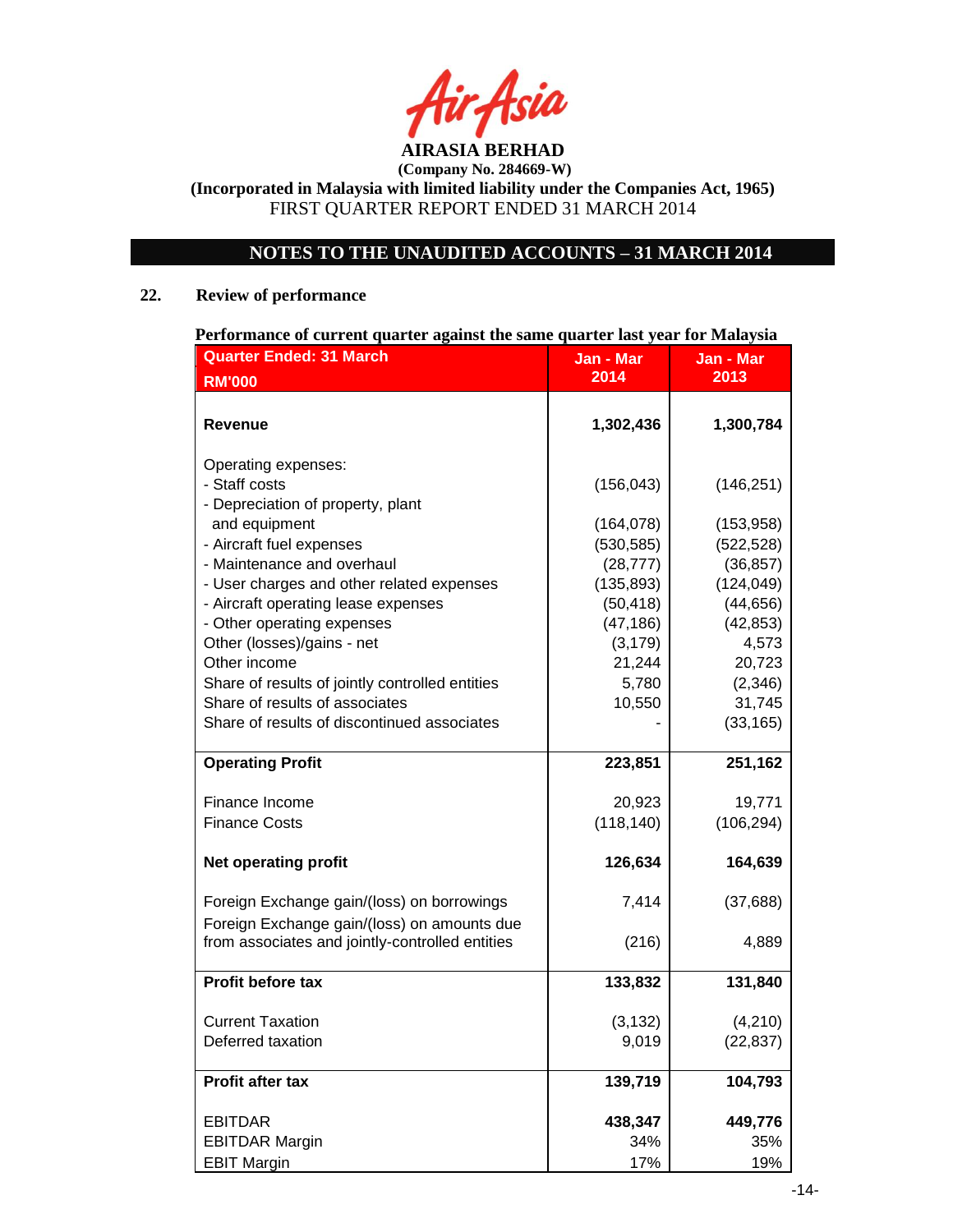**AIRASIA BERHAD** 

# **NOTES TO THE UNAUDITED ACCOUNTS – 31 MARCH 2014**

# **22. Review of performance**

| <b>Quarter Ended: 31 March</b>                  | Jan - Mar  | Jan - Mar  |
|-------------------------------------------------|------------|------------|
| <b>RM'000</b>                                   | 2014       | 2013       |
|                                                 |            |            |
| <b>Revenue</b>                                  | 1,302,436  | 1,300,784  |
| Operating expenses:                             |            |            |
| - Staff costs                                   | (156, 043) | (146, 251) |
| - Depreciation of property, plant               |            |            |
| and equipment                                   | (164, 078) | (153, 958) |
| - Aircraft fuel expenses                        | (530, 585) | (522, 528) |
| - Maintenance and overhaul                      | (28, 777)  | (36, 857)  |
| - User charges and other related expenses       | (135, 893) | (124, 049) |
| - Aircraft operating lease expenses             | (50, 418)  | (44, 656)  |
| - Other operating expenses                      | (47, 186)  | (42, 853)  |
| Other (losses)/gains - net                      | (3, 179)   | 4,573      |
| Other income                                    | 21,244     | 20,723     |
| Share of results of jointly controlled entities | 5,780      | (2,346)    |
| Share of results of associates                  | 10,550     | 31,745     |
| Share of results of discontinued associates     |            | (33, 165)  |
| <b>Operating Profit</b>                         | 223,851    | 251,162    |
| Finance Income                                  | 20,923     | 19,771     |
| <b>Finance Costs</b>                            | (118, 140) | (106, 294) |
| <b>Net operating profit</b>                     | 126,634    | 164,639    |
| Foreign Exchange gain/(loss) on borrowings      | 7,414      | (37, 688)  |
| Foreign Exchange gain/(loss) on amounts due     |            |            |
| from associates and jointly-controlled entities | (216)      | 4,889      |
| Profit before tax                               | 133,832    | 131,840    |
| <b>Current Taxation</b>                         | (3, 132)   | (4,210)    |
| Deferred taxation                               | 9,019      | (22, 837)  |
| Profit after tax                                | 139,719    | 104,793    |
| <b>EBITDAR</b>                                  | 438,347    | 449,776    |
| <b>EBITDAR Margin</b>                           | 34%        | 35%        |
| <b>EBIT Margin</b>                              | 17%        | 19%        |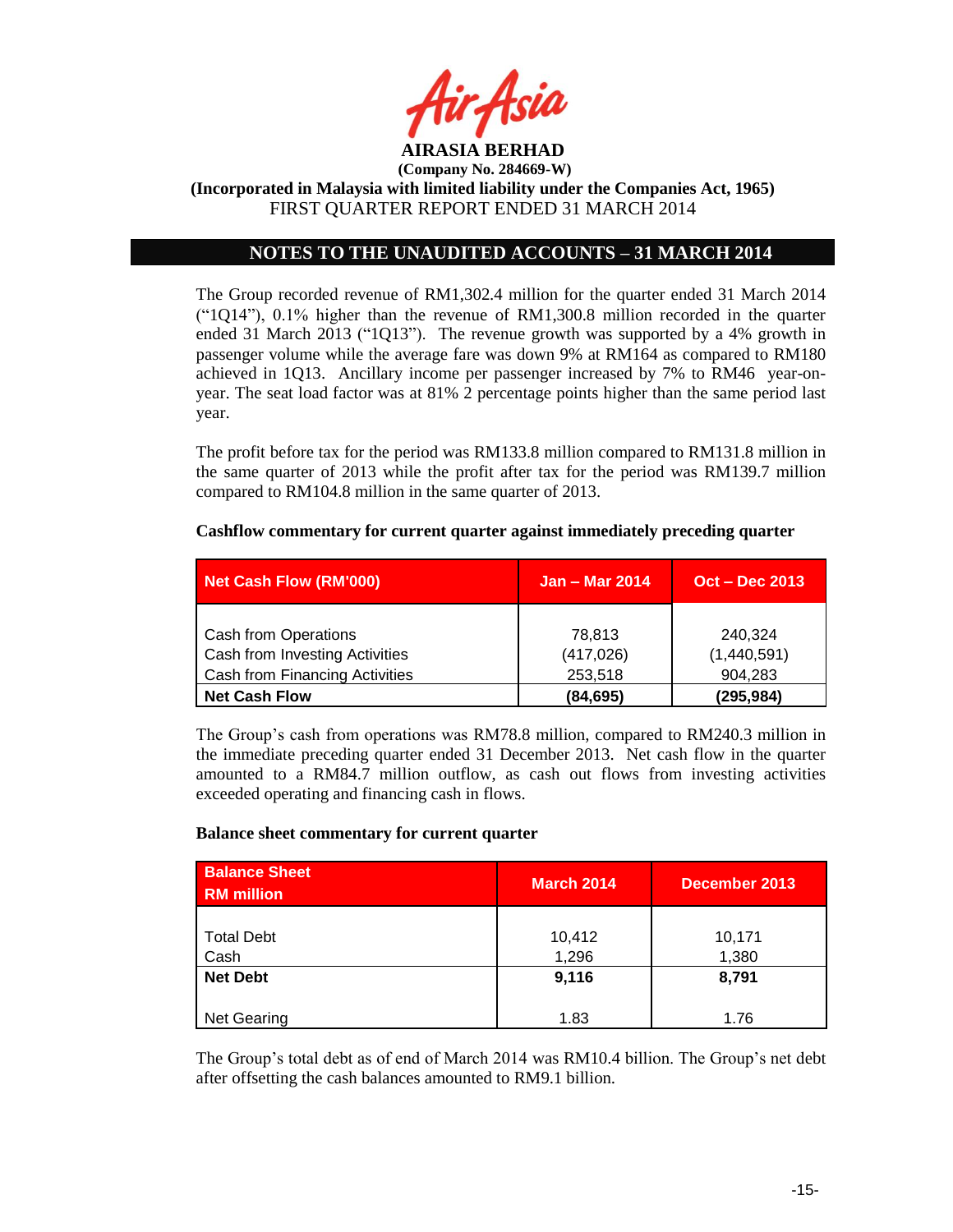

# **NOTES TO THE UNAUDITED ACCOUNTS – 31 MARCH 2014**

The Group recorded revenue of RM1,302.4 million for the quarter ended 31 March 2014  $($ "1Q14"), 0.1% higher than the revenue of RM1,300.8 million recorded in the quarter ended 31 March 2013 ("1Q13"). The revenue growth was supported by a 4% growth in passenger volume while the average fare was down 9% at RM164 as compared to RM180 achieved in 1Q13. Ancillary income per passenger increased by 7% to RM46 year-onyear. The seat load factor was at 81% 2 percentage points higher than the same period last year.

The profit before tax for the period was RM133.8 million compared to RM131.8 million in the same quarter of 2013 while the profit after tax for the period was RM139.7 million compared to RM104.8 million in the same quarter of 2013.

| <b>Net Cash Flow (RM'000)</b>  | <b>Jan - Mar 2014</b> | <b>Oct – Dec 2013</b> |
|--------------------------------|-----------------------|-----------------------|
|                                |                       |                       |
| Cash from Operations           | 78.813                | 240,324               |
| Cash from Investing Activities | (417, 026)            | (1,440,591)           |
| Cash from Financing Activities | 253,518               | 904,283               |
| <b>Net Cash Flow</b>           | (84, 695)             | (295,984)             |

#### **Cashflow commentary for current quarter against immediately preceding quarter**

The Group"s cash from operations was RM78.8 million, compared to RM240.3 million in the immediate preceding quarter ended 31 December 2013. Net cash flow in the quarter amounted to a RM84.7 million outflow, as cash out flows from investing activities exceeded operating and financing cash in flows.

#### **Balance sheet commentary for current quarter**

| <b>Balance Sheet</b><br><b>RM</b> million | <b>March 2014</b> | December 2013   |
|-------------------------------------------|-------------------|-----------------|
| <b>Total Debt</b><br>Cash                 | 10,412<br>1,296   | 10,171<br>1,380 |
| <b>Net Debt</b>                           | 9,116             | 8,791           |
| Net Gearing                               | 1.83              | 1.76            |

The Group's total debt as of end of March 2014 was RM10.4 billion. The Group's net debt after offsetting the cash balances amounted to RM9.1 billion.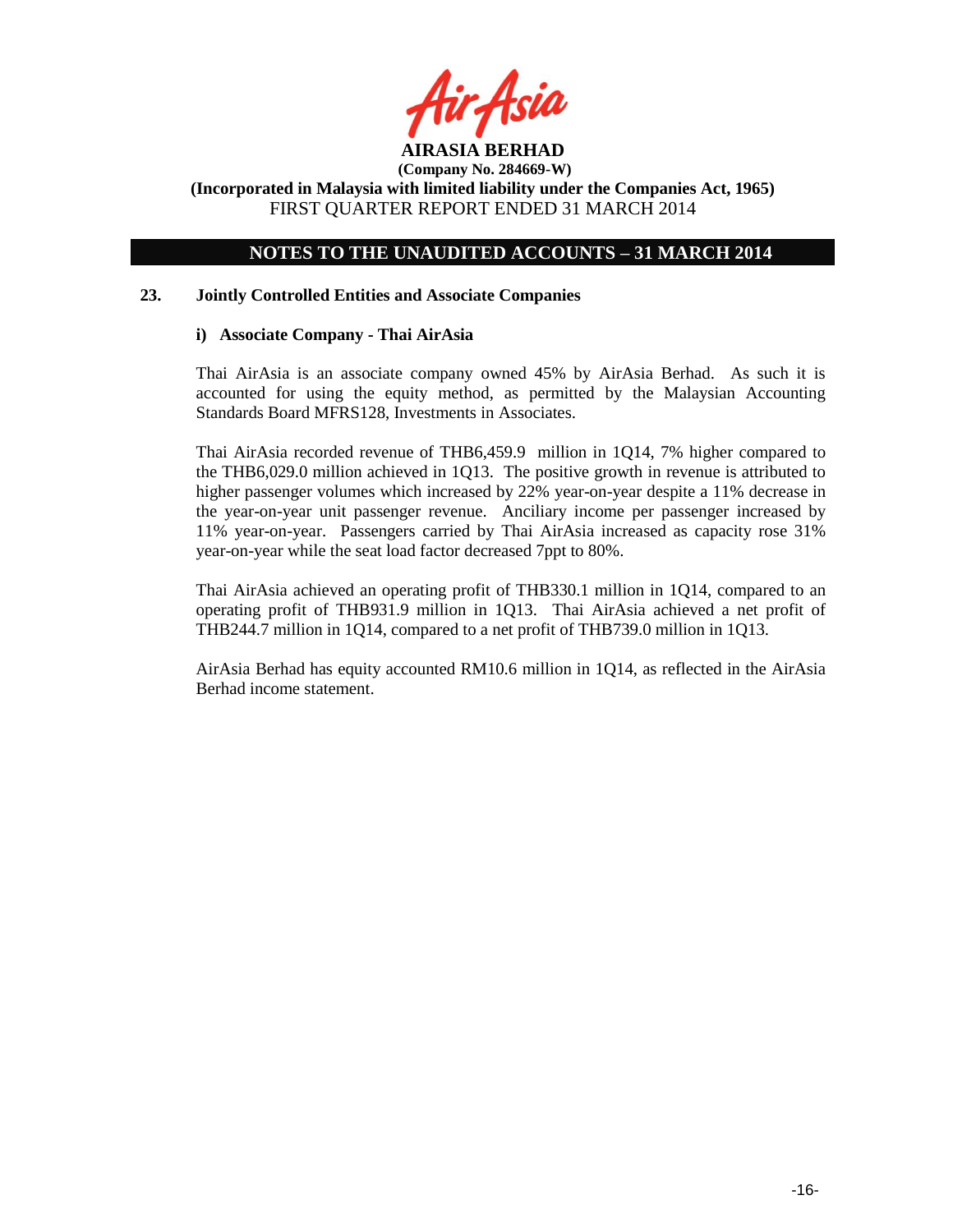

# **NOTES TO THE UNAUDITED ACCOUNTS – 31 MARCH 2014**

## **23. Jointly Controlled Entities and Associate Companies**

## **i) Associate Company - Thai AirAsia**

Thai AirAsia is an associate company owned 45% by AirAsia Berhad. As such it is accounted for using the equity method, as permitted by the Malaysian Accounting Standards Board MFRS128, Investments in Associates.

Thai AirAsia recorded revenue of THB6,459.9 million in 1Q14, 7% higher compared to the THB6,029.0 million achieved in 1Q13. The positive growth in revenue is attributed to higher passenger volumes which increased by 22% year-on-year despite a 11% decrease in the year-on-year unit passenger revenue. Anciliary income per passenger increased by 11% year-on-year. Passengers carried by Thai AirAsia increased as capacity rose 31% year-on-year while the seat load factor decreased 7ppt to 80%.

Thai AirAsia achieved an operating profit of THB330.1 million in 1Q14, compared to an operating profit of THB931.9 million in 1Q13. Thai AirAsia achieved a net profit of THB244.7 million in 1Q14, compared to a net profit of THB739.0 million in 1Q13.

AirAsia Berhad has equity accounted RM10.6 million in 1Q14, as reflected in the AirAsia Berhad income statement.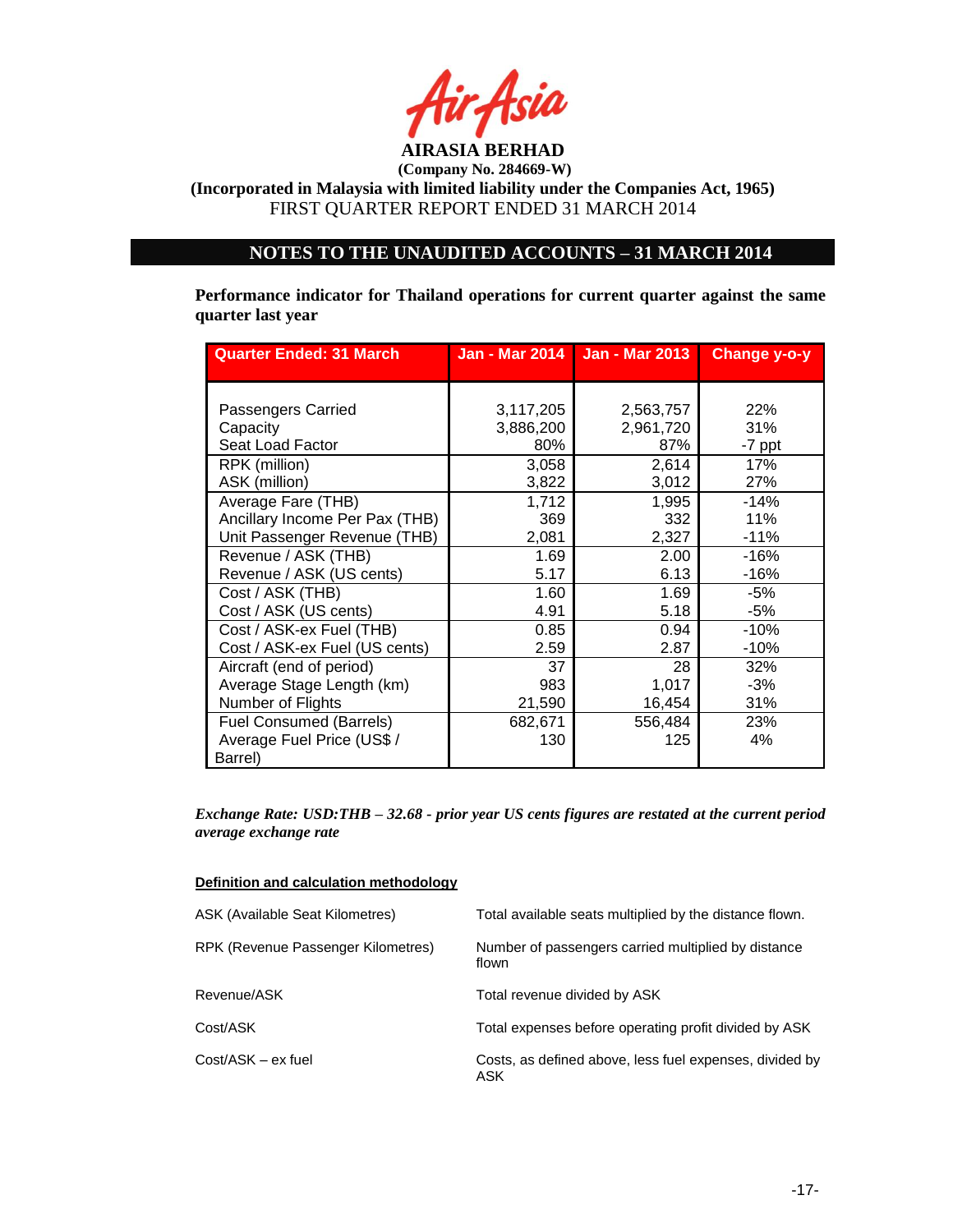

**(Incorporated in Malaysia with limited liability under the Companies Act, 1965)** FIRST QUARTER REPORT ENDED 31 MARCH 2014

# **NOTES TO THE UNAUDITED ACCOUNTS – 31 MARCH 2014**

**Performance indicator for Thailand operations for current quarter against the same quarter last year**

| <b>Quarter Ended: 31 March</b> |           | Jan - Mar 2014   Jan - Mar 2013 | Change y-o-y |
|--------------------------------|-----------|---------------------------------|--------------|
|                                |           |                                 |              |
| Passengers Carried             | 3,117,205 | 2,563,757                       | 22%          |
| Capacity                       | 3,886,200 | 2,961,720                       | 31%          |
| Seat Load Factor               | 80%       | 87%                             | -7 ppt       |
| RPK (million)                  | 3,058     | 2,614                           | 17%          |
| ASK (million)                  | 3,822     | 3,012                           | 27%          |
| Average Fare (THB)             | 1,712     | 1,995                           | $-14%$       |
| Ancillary Income Per Pax (THB) | 369       | 332                             | 11%          |
| Unit Passenger Revenue (THB)   | 2,081     | 2,327                           | $-11%$       |
| Revenue / ASK (THB)            | 1.69      | 2.00                            | $-16%$       |
| Revenue / ASK (US cents)       | 5.17      | 6.13                            | -16%         |
| Cost / ASK (THB)               | 1.60      | 1.69                            | -5%          |
| Cost / ASK (US cents)          | 4.91      | 5.18                            | -5%          |
| Cost / ASK-ex Fuel (THB)       | 0.85      | 0.94                            | $-10%$       |
| Cost / ASK-ex Fuel (US cents)  | 2.59      | 2.87                            | $-10%$       |
| Aircraft (end of period)       | 37        | 28                              | 32%          |
| Average Stage Length (km)      | 983       | 1,017                           | $-3%$        |
| Number of Flights              | 21,590    | 16,454                          | 31%          |
| <b>Fuel Consumed (Barrels)</b> | 682,671   | 556,484                         | 23%          |
| Average Fuel Price (US\$ /     | 130       | 125                             | 4%           |
| Barrel)                        |           |                                 |              |

*Exchange Rate: USD:THB – 32.68 - prior year US cents figures are restated at the current period average exchange rate*

| Definition and calculation methodology |
|----------------------------------------|
|                                        |

| ASK (Available Seat Kilometres)    | Total available seats multiplied by the distance flown.        |
|------------------------------------|----------------------------------------------------------------|
| RPK (Revenue Passenger Kilometres) | Number of passengers carried multiplied by distance<br>flown   |
| Revenue/ASK                        | Total revenue divided by ASK                                   |
| Cost/ASK                           | Total expenses before operating profit divided by ASK          |
| Cost/ASK - ex fuel                 | Costs, as defined above, less fuel expenses, divided by<br>ASK |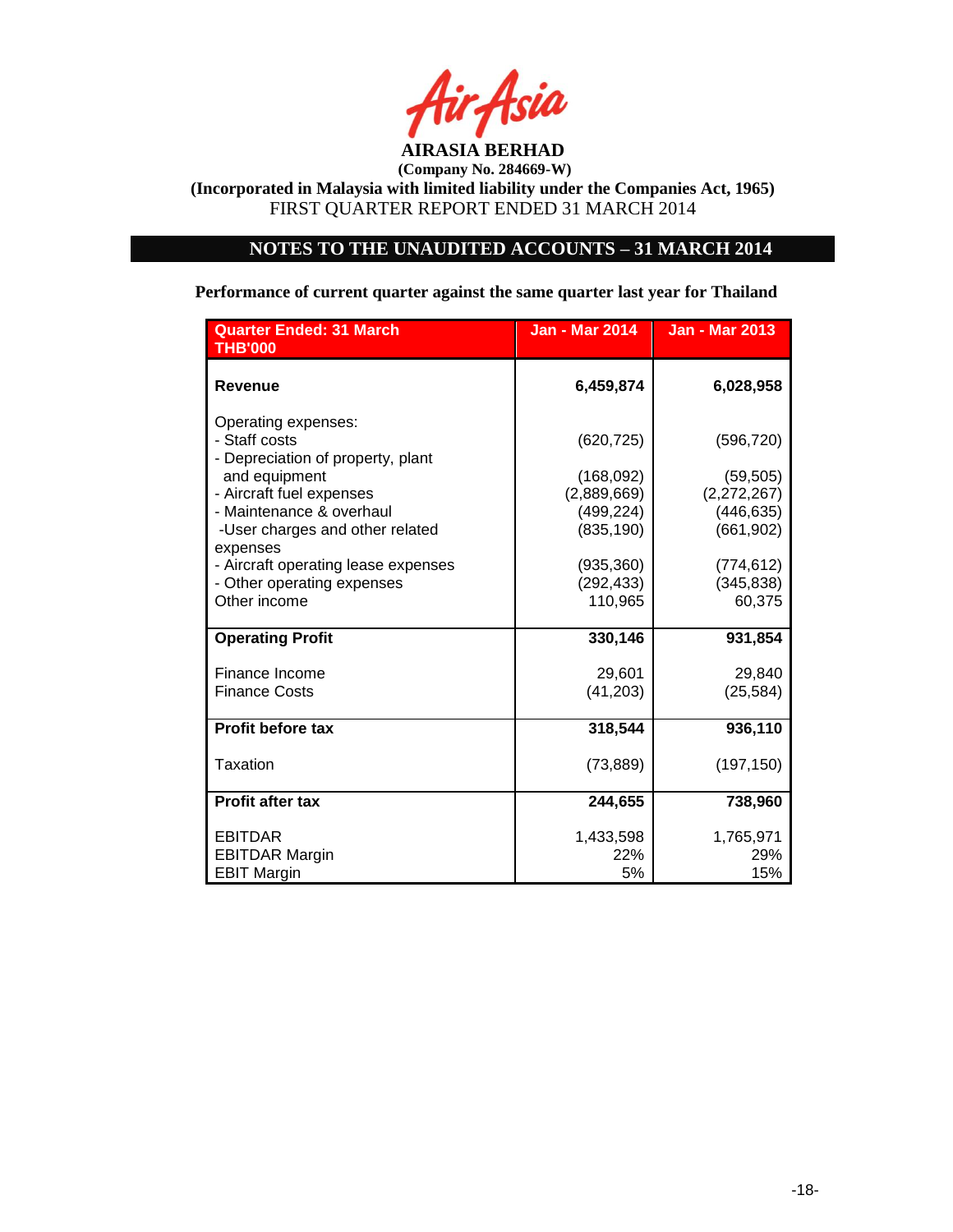

**(Incorporated in Malaysia with limited liability under the Companies Act, 1965)** FIRST QUARTER REPORT ENDED 31 MARCH 2014

# **NOTES TO THE UNAUDITED ACCOUNTS – 31 MARCH 2014**

# **Performance of current quarter against the same quarter last year for Thailand**

| <b>Quarter Ended: 31 March</b><br><b>THB'000</b>                                        | <b>Jan - Mar 2014</b>                   | <b>Jan - Mar 2013</b>                   |
|-----------------------------------------------------------------------------------------|-----------------------------------------|-----------------------------------------|
| <b>Revenue</b>                                                                          | 6,459,874                               | 6,028,958                               |
| Operating expenses:<br>- Staff costs<br>- Depreciation of property, plant               | (620, 725)                              | (596, 720)                              |
| and equipment                                                                           | (168,092)                               | (59, 505)                               |
| - Aircraft fuel expenses<br>- Maintenance & overhaul<br>-User charges and other related | (2,889,669)<br>(499, 224)<br>(835, 190) | (2,272,267)<br>(446, 635)<br>(661, 902) |
| expenses<br>- Aircraft operating lease expenses                                         | (935, 360)                              | (774, 612)                              |
| - Other operating expenses<br>Other income                                              | (292, 433)<br>110,965                   | (345, 838)<br>60,375                    |
| <b>Operating Profit</b>                                                                 | 330,146                                 | 931,854                                 |
| Finance Income<br><b>Finance Costs</b>                                                  | 29,601<br>(41, 203)                     | 29,840<br>(25, 584)                     |
| <b>Profit before tax</b>                                                                | 318,544                                 | 936,110                                 |
| Taxation                                                                                | (73, 889)                               | (197, 150)                              |
| <b>Profit after tax</b>                                                                 | 244,655                                 | 738,960                                 |
| <b>EBITDAR</b>                                                                          | 1,433,598                               | 1,765,971                               |
| <b>EBITDAR Margin</b><br><b>EBIT Margin</b>                                             | 22%<br>5%                               | 29%<br>15%                              |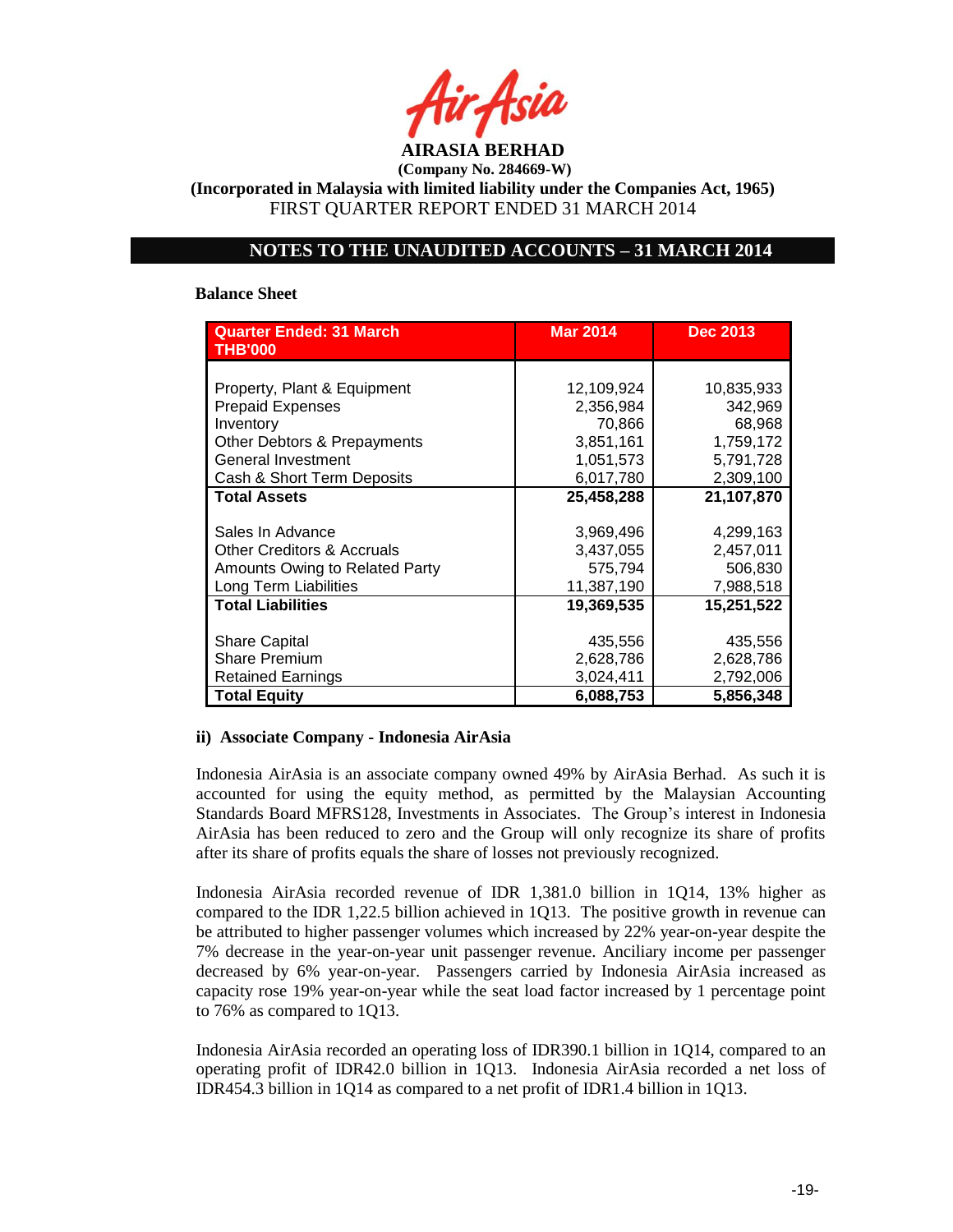**AIRASIA BERHAD** 

**(Incorporated in Malaysia with limited liability under the Companies Act, 1965)** FIRST QUARTER REPORT ENDED 31 MARCH 2014

# **NOTES TO THE UNAUDITED ACCOUNTS – 31 MARCH 2014**

#### **Balance Sheet**

| <b>Quarter Ended: 31 March</b><br><b>THB'000</b> | <b>Mar 2014</b> | <b>Dec 2013</b> |
|--------------------------------------------------|-----------------|-----------------|
|                                                  |                 |                 |
| Property, Plant & Equipment                      | 12,109,924      | 10,835,933      |
| <b>Prepaid Expenses</b>                          | 2,356,984       | 342,969         |
| Inventory                                        | 70,866          | 68,968          |
| Other Debtors & Prepayments                      | 3,851,161       | 1,759,172       |
| General Investment                               | 1,051,573       | 5,791,728       |
| Cash & Short Term Deposits                       | 6,017,780       | 2,309,100       |
| <b>Total Assets</b>                              | 25,458,288      | 21,107,870      |
|                                                  |                 |                 |
| Sales In Advance                                 | 3,969,496       | 4,299,163       |
| <b>Other Creditors &amp; Accruals</b>            | 3,437,055       | 2,457,011       |
| Amounts Owing to Related Party                   | 575,794         | 506,830         |
| Long Term Liabilities                            | 11,387,190      | 7,988,518       |
| <b>Total Liabilities</b>                         | 19,369,535      | 15,251,522      |
|                                                  |                 |                 |
| <b>Share Capital</b>                             | 435,556         | 435,556         |
| <b>Share Premium</b>                             | 2,628,786       | 2,628,786       |
| <b>Retained Earnings</b>                         | 3,024,411       | 2,792,006       |
| <b>Total Equity</b>                              | 6,088,753       | 5,856,348       |

#### **ii) Associate Company - Indonesia AirAsia**

Indonesia AirAsia is an associate company owned 49% by AirAsia Berhad. As such it is accounted for using the equity method, as permitted by the Malaysian Accounting Standards Board MFRS128, Investments in Associates. The Group"s interest in Indonesia AirAsia has been reduced to zero and the Group will only recognize its share of profits after its share of profits equals the share of losses not previously recognized.

Indonesia AirAsia recorded revenue of IDR 1,381.0 billion in 1Q14, 13% higher as compared to the IDR 1,22.5 billion achieved in 1Q13. The positive growth in revenue can be attributed to higher passenger volumes which increased by 22% year-on-year despite the 7% decrease in the year-on-year unit passenger revenue. Anciliary income per passenger decreased by 6% year-on-year. Passengers carried by Indonesia AirAsia increased as capacity rose 19% year-on-year while the seat load factor increased by 1 percentage point to 76% as compared to 1Q13.

Indonesia AirAsia recorded an operating loss of IDR390.1 billion in 1Q14, compared to an operating profit of IDR42.0 billion in 1Q13. Indonesia AirAsia recorded a net loss of IDR454.3 billion in 1Q14 as compared to a net profit of IDR1.4 billion in 1Q13.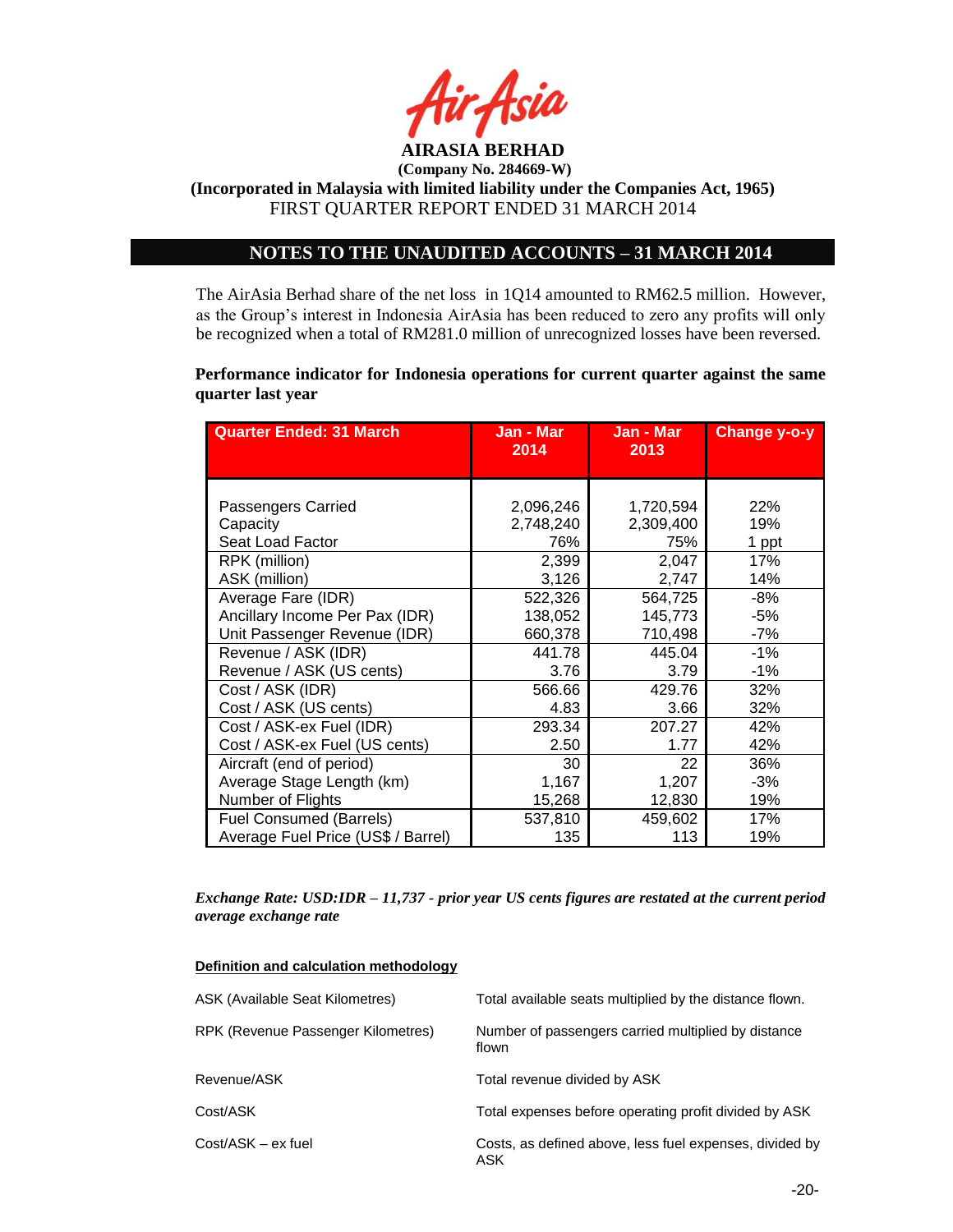

**(Incorporated in Malaysia with limited liability under the Companies Act, 1965)** FIRST QUARTER REPORT ENDED 31 MARCH 2014

# **NOTES TO THE UNAUDITED ACCOUNTS – 31 MARCH 2014**

The AirAsia Berhad share of the net loss in 1Q14 amounted to RM62.5 million. However, as the Group"s interest in Indonesia AirAsia has been reduced to zero any profits will only be recognized when a total of RM281.0 million of unrecognized losses have been reversed.

**Performance indicator for Indonesia operations for current quarter against the same quarter last year**

| <b>Quarter Ended: 31 March</b>     | Jan - Mar<br>2014 | Jan - Mar<br>2013 | <b>Change y-o-y</b> |
|------------------------------------|-------------------|-------------------|---------------------|
|                                    |                   |                   |                     |
|                                    |                   |                   |                     |
| Passengers Carried                 | 2,096,246         | 1,720,594         | 22%                 |
| Capacity                           | 2,748,240         | 2,309,400         | 19%                 |
| Seat Load Factor                   | 76%               | 75%               | 1 ppt               |
| RPK (million)                      | 2,399             | 2,047             | 17%                 |
| ASK (million)                      | 3,126             | 2,747             | 14%                 |
| Average Fare (IDR)                 | 522,326           | 564,725           | $-8%$               |
| Ancillary Income Per Pax (IDR)     | 138,052           | 145,773           | -5%                 |
| Unit Passenger Revenue (IDR)       | 660,378           | 710,498           | -7%                 |
| Revenue / ASK (IDR)                | 441.78            | 445.04            | $-1%$               |
| Revenue / ASK (US cents)           | 3.76              | 3.79              | $-1%$               |
| Cost / ASK (IDR)                   | 566.66            | 429.76            | 32%                 |
| Cost / ASK (US cents)              | 4.83              | 3.66              | 32%                 |
| Cost / ASK-ex Fuel (IDR)           | 293.34            | 207.27            | 42%                 |
| Cost / ASK-ex Fuel (US cents)      | 2.50              | 1.77              | 42%                 |
| Aircraft (end of period)           | 30                | 22                | 36%                 |
| Average Stage Length (km)          | 1,167             | 1,207             | -3%                 |
| Number of Flights                  | 15,268            | 12,830            | 19%                 |
| Fuel Consumed (Barrels)            | 537,810           | 459,602           | 17%                 |
| Average Fuel Price (US\$ / Barrel) | 135               | 113               | 19%                 |

*Exchange Rate: USD:IDR – 11,737 - prior year US cents figures are restated at the current period average exchange rate*

#### **Definition and calculation methodology**

| ASK (Available Seat Kilometres)    | Total available seats multiplied by the distance flown.        |
|------------------------------------|----------------------------------------------------------------|
| RPK (Revenue Passenger Kilometres) | Number of passengers carried multiplied by distance<br>flown   |
| Revenue/ASK                        | Total revenue divided by ASK                                   |
| Cost/ASK                           | Total expenses before operating profit divided by ASK          |
| $Cost/ASK - ex$ fuel               | Costs, as defined above, less fuel expenses, divided by<br>ASK |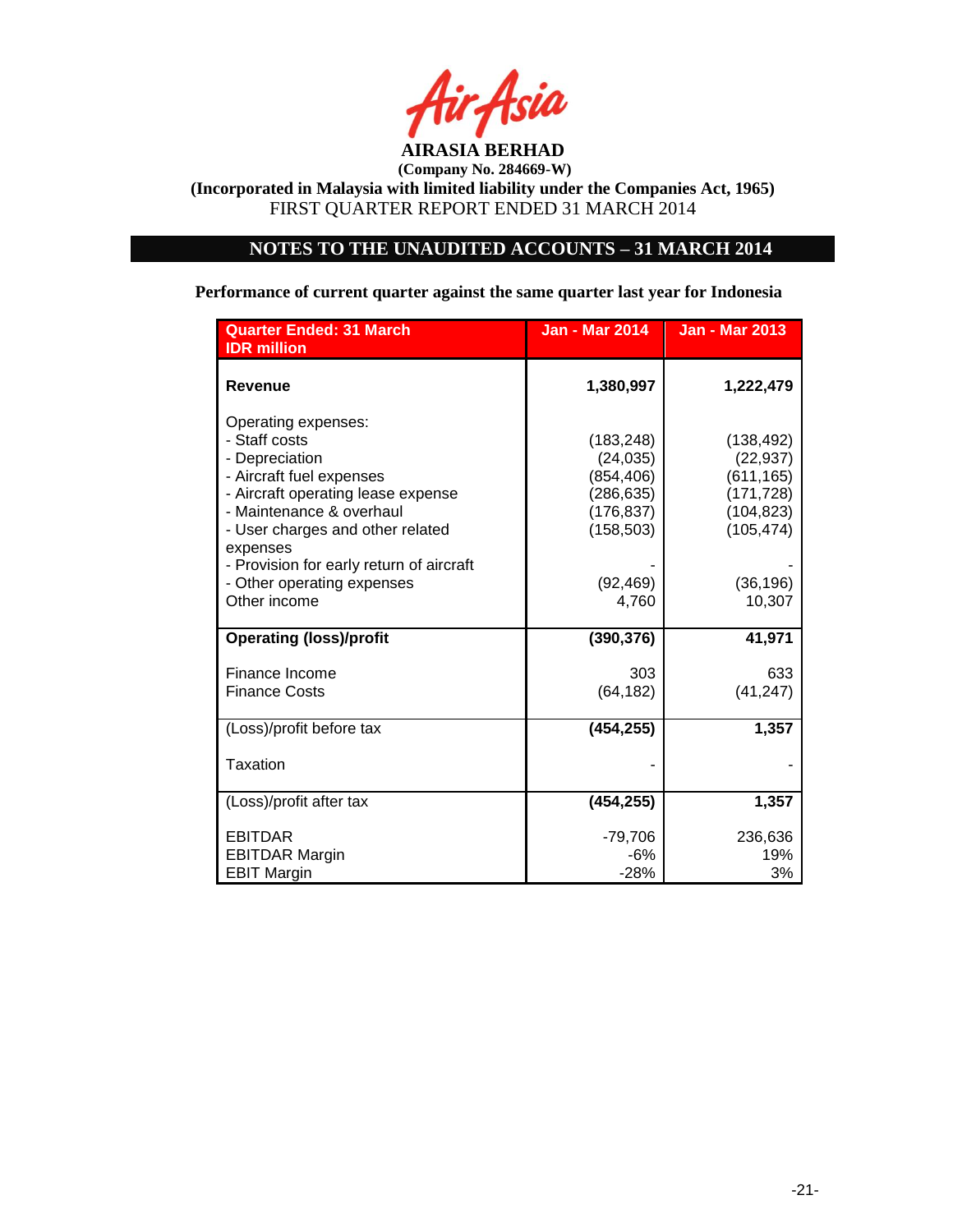

**(Incorporated in Malaysia with limited liability under the Companies Act, 1965)** FIRST QUARTER REPORT ENDED 31 MARCH 2014

# **NOTES TO THE UNAUDITED ACCOUNTS – 31 MARCH 2014**

**Performance of current quarter against the same quarter last year for Indonesia**

| <b>Quarter Ended: 31 March</b><br><b>IDR</b> million                                                                                                                                     | <b>Jan - Mar 2014</b>                                                         | <b>Jan - Mar 2013</b>                                                           |
|------------------------------------------------------------------------------------------------------------------------------------------------------------------------------------------|-------------------------------------------------------------------------------|---------------------------------------------------------------------------------|
| <b>Revenue</b>                                                                                                                                                                           | 1,380,997                                                                     | 1,222,479                                                                       |
| Operating expenses:<br>- Staff costs<br>- Depreciation<br>- Aircraft fuel expenses<br>- Aircraft operating lease expense<br>- Maintenance & overhaul<br>- User charges and other related | (183, 248)<br>(24, 035)<br>(854, 406)<br>(286,635)<br>(176,837)<br>(158, 503) | (138, 492)<br>(22, 937)<br>(611, 165)<br>(171, 728)<br>(104, 823)<br>(105, 474) |
| expenses<br>- Provision for early return of aircraft<br>- Other operating expenses<br>Other income                                                                                       | (92, 469)<br>4,760                                                            | (36, 196)<br>10,307                                                             |
| <b>Operating (loss)/profit</b>                                                                                                                                                           | (390, 376)                                                                    | 41,971                                                                          |
| Finance Income<br><b>Finance Costs</b>                                                                                                                                                   | 303<br>(64, 182)                                                              | 633<br>(41, 247)                                                                |
| (Loss)/profit before tax                                                                                                                                                                 | (454, 255)                                                                    | 1,357                                                                           |
| Taxation                                                                                                                                                                                 |                                                                               |                                                                                 |
| (Loss)/profit after tax                                                                                                                                                                  | (454, 255)                                                                    | 1,357                                                                           |
| <b>EBITDAR</b><br><b>EBITDAR Margin</b><br><b>EBIT Margin</b>                                                                                                                            | $-79,706$<br>$-6%$<br>$-28%$                                                  | 236,636<br>19%<br>3%                                                            |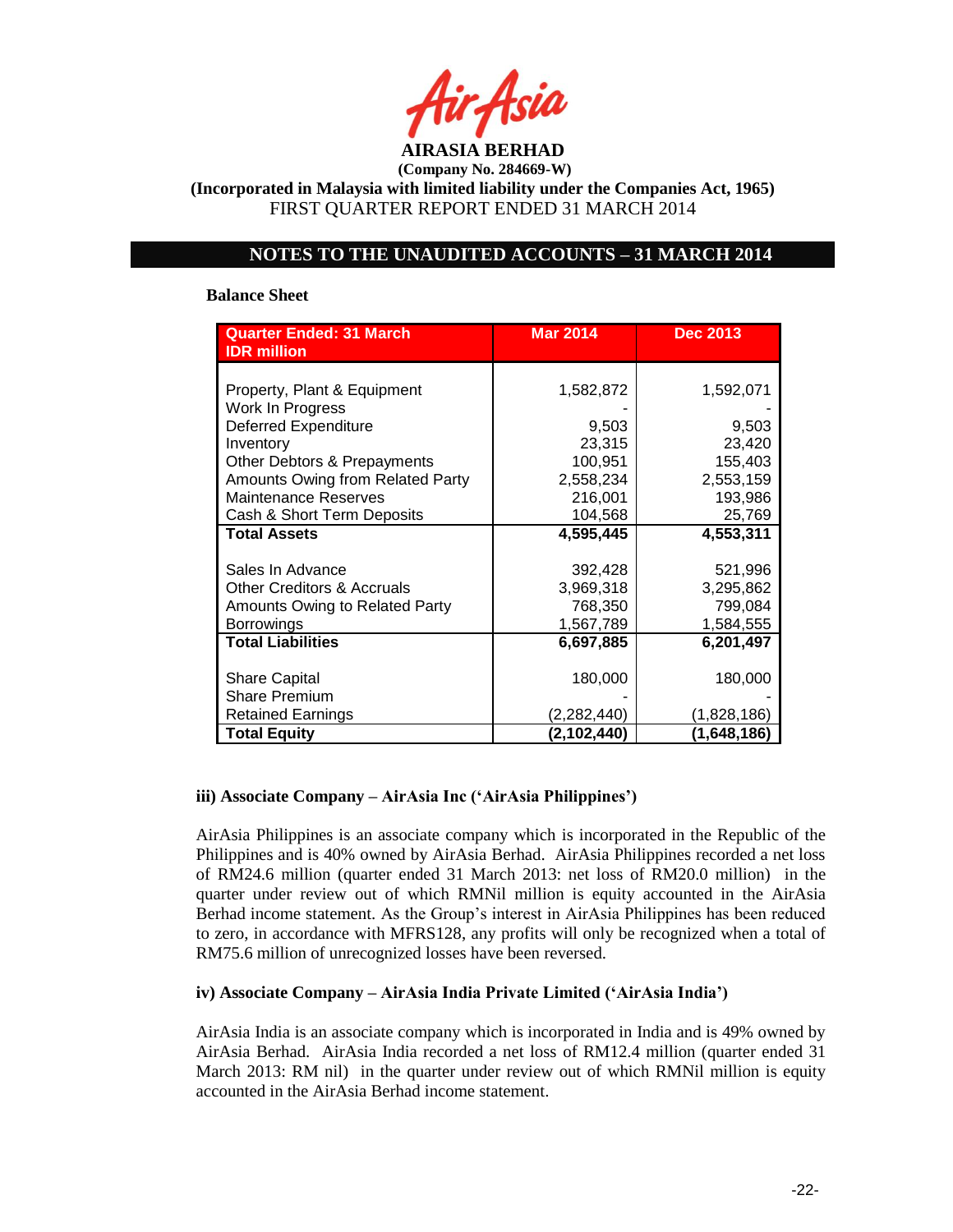

**(Incorporated in Malaysia with limited liability under the Companies Act, 1965)** FIRST QUARTER REPORT ENDED 31 MARCH 2014

# **NOTES TO THE UNAUDITED ACCOUNTS – 31 MARCH 2014**

### **Balance Sheet**

| <b>Quarter Ended: 31 March</b>        | <b>Mar 2014</b> | <b>Dec 2013</b> |
|---------------------------------------|-----------------|-----------------|
| <b>IDR</b> million                    |                 |                 |
|                                       |                 |                 |
| Property, Plant & Equipment           | 1,582,872       | 1,592,071       |
| Work In Progress                      |                 |                 |
| <b>Deferred Expenditure</b>           | 9,503           | 9,503           |
| Inventory                             | 23,315          | 23,420          |
| Other Debtors & Prepayments           | 100,951         | 155,403         |
| Amounts Owing from Related Party      | 2,558,234       | 2,553,159       |
| <b>Maintenance Reserves</b>           | 216,001         | 193,986         |
| Cash & Short Term Deposits            | 104,568         | 25,769          |
| <b>Total Assets</b>                   | 4,595,445       | 4,553,311       |
|                                       |                 |                 |
| Sales In Advance                      | 392,428         | 521,996         |
| <b>Other Creditors &amp; Accruals</b> | 3,969,318       | 3,295,862       |
| Amounts Owing to Related Party        | 768,350         | 799,084         |
| <b>Borrowings</b>                     | 1,567,789       | 1,584,555       |
| <b>Total Liabilities</b>              | 6,697,885       | 6,201,497       |
|                                       |                 |                 |
| <b>Share Capital</b>                  | 180,000         | 180,000         |
| <b>Share Premium</b>                  |                 |                 |
| <b>Retained Earnings</b>              | (2,282,440)     | (1,828,186)     |
| <b>Total Equity</b>                   | (2,102,440)     | (1,648,186)     |

# **iii) Associate Company – AirAsia Inc ('AirAsia Philippines')**

AirAsia Philippines is an associate company which is incorporated in the Republic of the Philippines and is 40% owned by AirAsia Berhad. AirAsia Philippines recorded a net loss of RM24.6 million (quarter ended 31 March 2013: net loss of RM20.0 million) in the quarter under review out of which RMNil million is equity accounted in the AirAsia Berhad income statement. As the Group"s interest in AirAsia Philippines has been reduced to zero, in accordance with MFRS128, any profits will only be recognized when a total of RM75.6 million of unrecognized losses have been reversed.

## **iv) Associate Company – AirAsia India Private Limited ('AirAsia India')**

AirAsia India is an associate company which is incorporated in India and is 49% owned by AirAsia Berhad. AirAsia India recorded a net loss of RM12.4 million (quarter ended 31 March 2013: RM nil) in the quarter under review out of which RMNil million is equity accounted in the AirAsia Berhad income statement.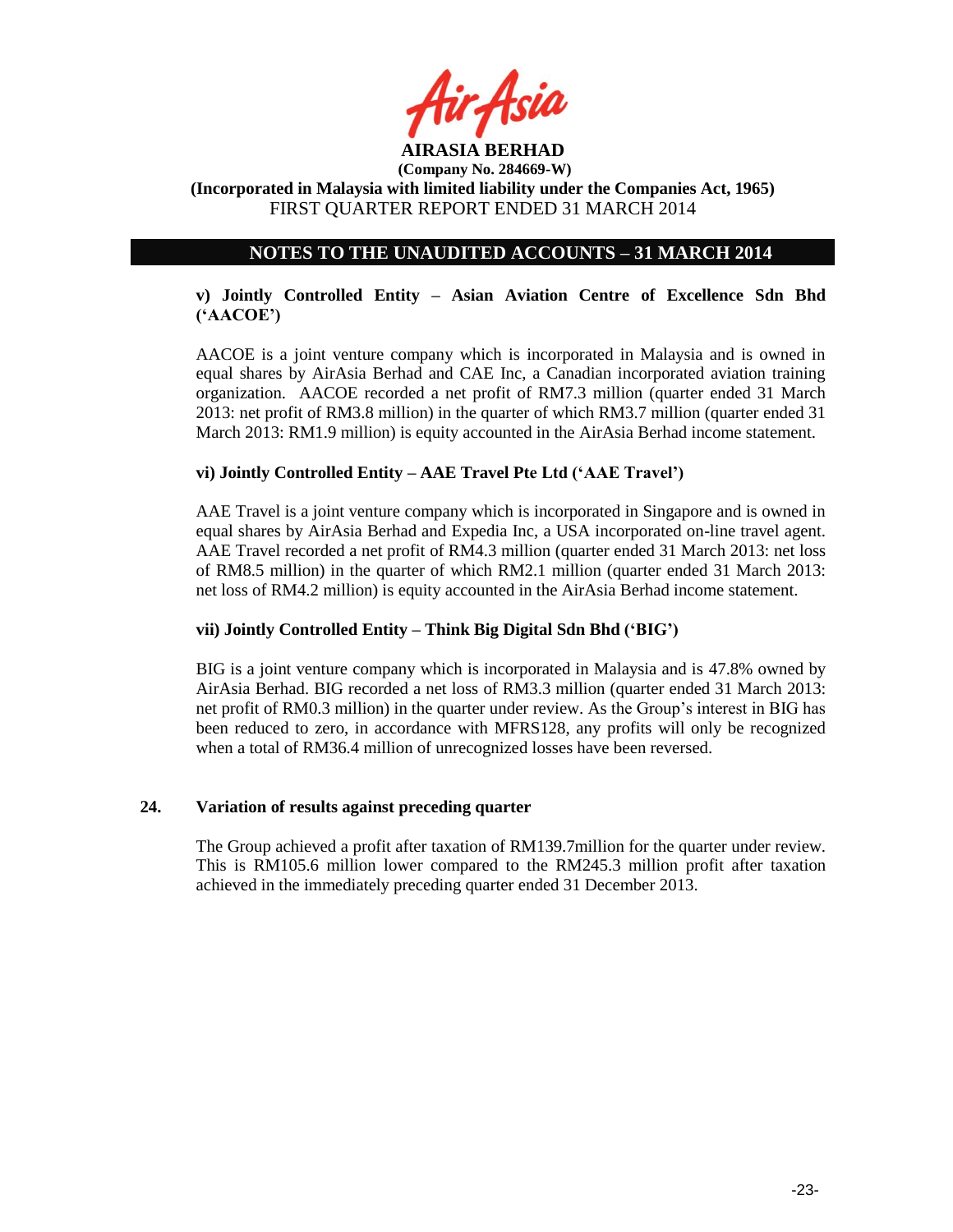

# **NOTES TO THE UNAUDITED ACCOUNTS – 31 MARCH 2014**

# **v) Jointly Controlled Entity – Asian Aviation Centre of Excellence Sdn Bhd ('AACOE')**

AACOE is a joint venture company which is incorporated in Malaysia and is owned in equal shares by AirAsia Berhad and CAE Inc, a Canadian incorporated aviation training organization. AACOE recorded a net profit of RM7.3 million (quarter ended 31 March 2013: net profit of RM3.8 million) in the quarter of which RM3.7 million (quarter ended 31 March 2013: RM1.9 million) is equity accounted in the AirAsia Berhad income statement.

# **vi) Jointly Controlled Entity – AAE Travel Pte Ltd ('AAE Travel')**

AAE Travel is a joint venture company which is incorporated in Singapore and is owned in equal shares by AirAsia Berhad and Expedia Inc, a USA incorporated on-line travel agent. AAE Travel recorded a net profit of RM4.3 million (quarter ended 31 March 2013: net loss of RM8.5 million) in the quarter of which RM2.1 million (quarter ended 31 March 2013: net loss of RM4.2 million) is equity accounted in the AirAsia Berhad income statement.

# **vii) Jointly Controlled Entity – Think Big Digital Sdn Bhd ('BIG')**

BIG is a joint venture company which is incorporated in Malaysia and is 47.8% owned by AirAsia Berhad. BIG recorded a net loss of RM3.3 million (quarter ended 31 March 2013: net profit of RM0.3 million) in the quarter under review. As the Group"s interest in BIG has been reduced to zero, in accordance with MFRS128, any profits will only be recognized when a total of RM36.4 million of unrecognized losses have been reversed.

## **24. Variation of results against preceding quarter**

The Group achieved a profit after taxation of RM139.7million for the quarter under review. This is RM105.6 million lower compared to the RM245.3 million profit after taxation achieved in the immediately preceding quarter ended 31 December 2013.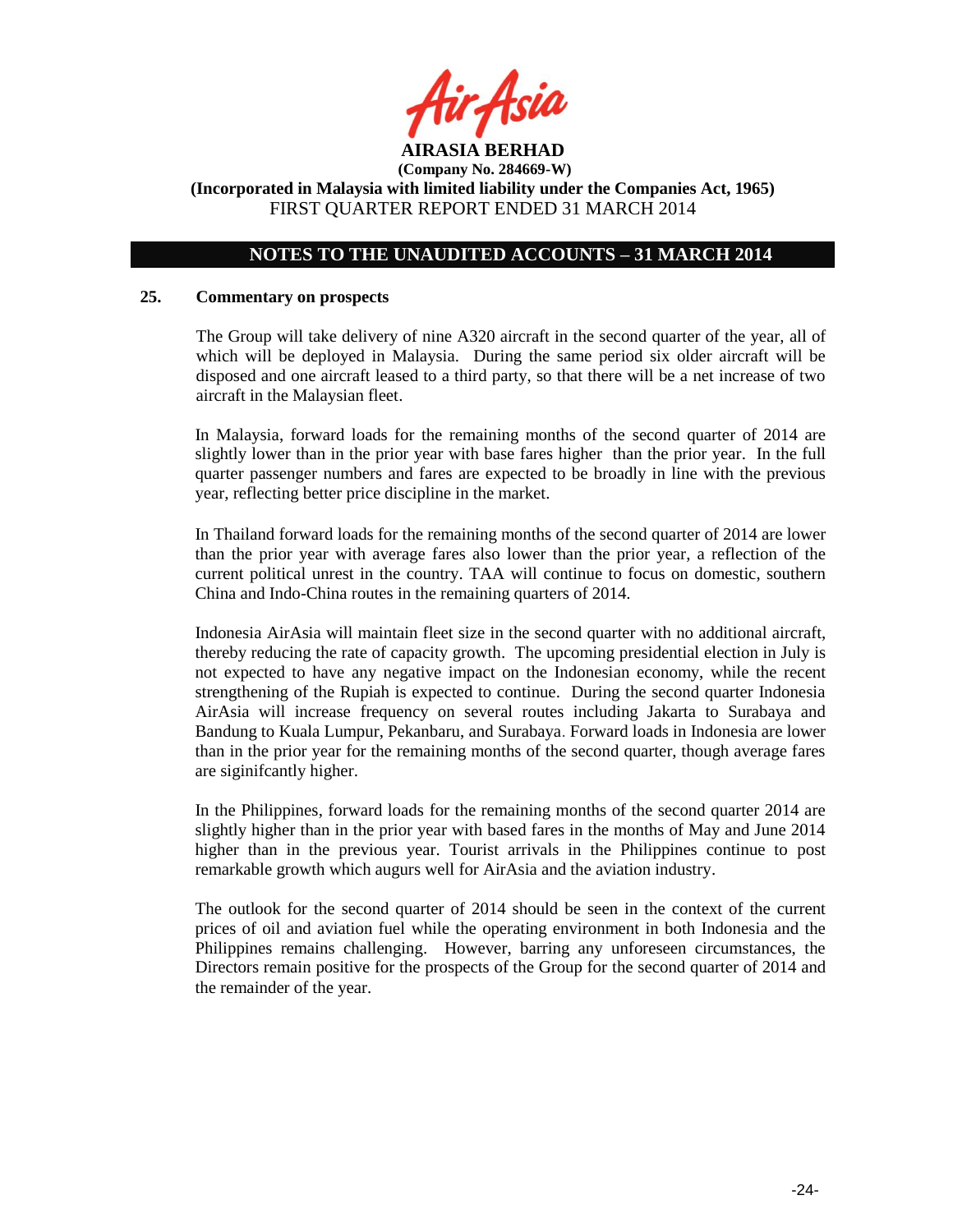

# **NOTES TO THE UNAUDITED ACCOUNTS – 31 MARCH 2014**

#### **25. Commentary on prospects**

The Group will take delivery of nine A320 aircraft in the second quarter of the year, all of which will be deployed in Malaysia. During the same period six older aircraft will be disposed and one aircraft leased to a third party, so that there will be a net increase of two aircraft in the Malaysian fleet.

In Malaysia, forward loads for the remaining months of the second quarter of 2014 are slightly lower than in the prior year with base fares higher than the prior year. In the full quarter passenger numbers and fares are expected to be broadly in line with the previous year, reflecting better price discipline in the market.

In Thailand forward loads for the remaining months of the second quarter of 2014 are lower than the prior year with average fares also lower than the prior year, a reflection of the current political unrest in the country. TAA will continue to focus on domestic, southern China and Indo-China routes in the remaining quarters of 2014.

Indonesia AirAsia will maintain fleet size in the second quarter with no additional aircraft, thereby reducing the rate of capacity growth. The upcoming presidential election in July is not expected to have any negative impact on the Indonesian economy, while the recent strengthening of the Rupiah is expected to continue. During the second quarter Indonesia AirAsia will increase frequency on several routes including Jakarta to Surabaya and Bandung to Kuala Lumpur, Pekanbaru, and Surabaya. Forward loads in Indonesia are lower than in the prior year for the remaining months of the second quarter, though average fares are siginifcantly higher.

In the Philippines, forward loads for the remaining months of the second quarter 2014 are slightly higher than in the prior year with based fares in the months of May and June 2014 higher than in the previous year. Tourist arrivals in the Philippines continue to post remarkable growth which augurs well for AirAsia and the aviation industry.

The outlook for the second quarter of 2014 should be seen in the context of the current prices of oil and aviation fuel while the operating environment in both Indonesia and the Philippines remains challenging. However, barring any unforeseen circumstances, the Directors remain positive for the prospects of the Group for the second quarter of 2014 and the remainder of the year.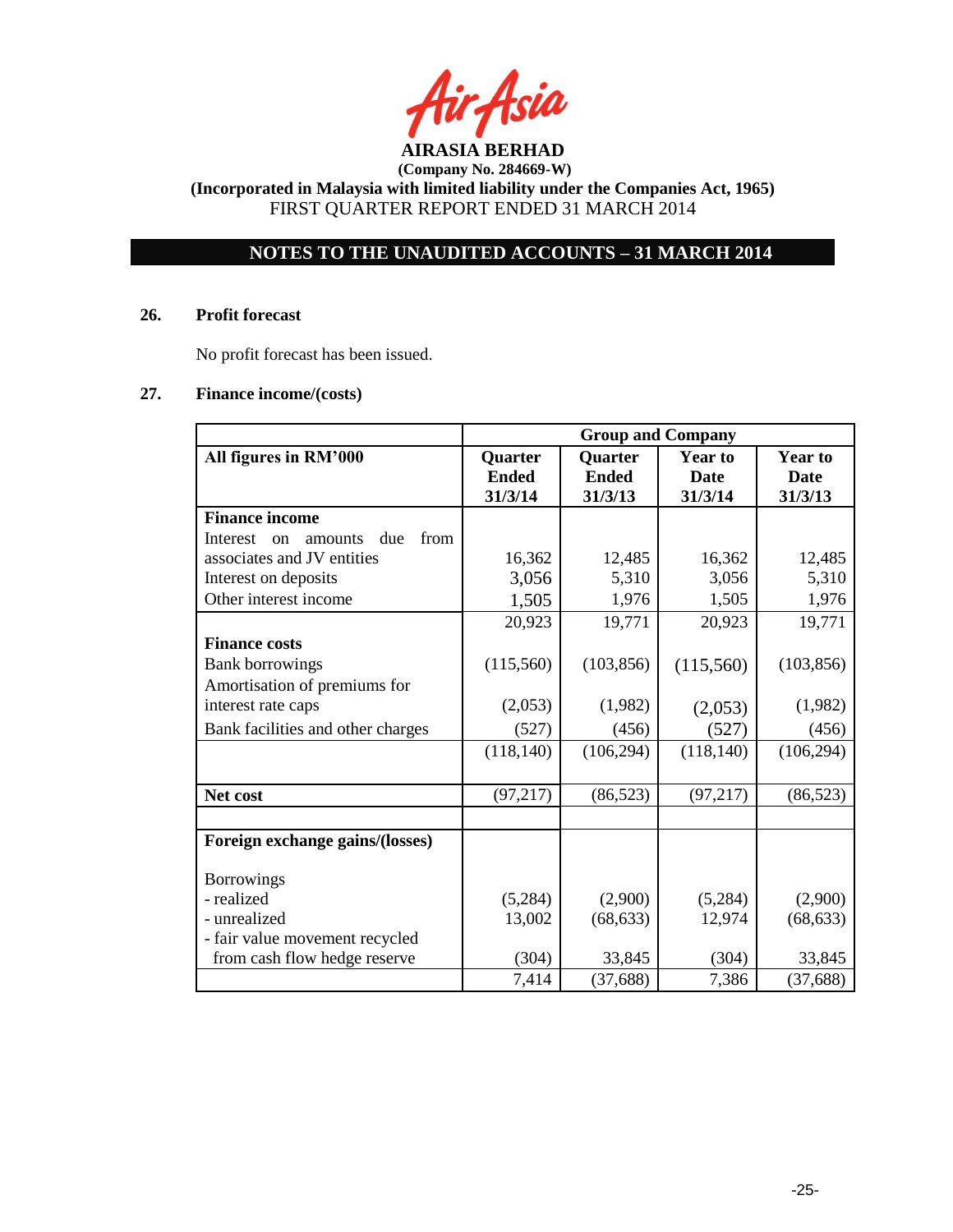**AIRASIA BERHAD** 

# **NOTES TO THE UNAUDITED ACCOUNTS – 31 MARCH 2014**

### **26. Profit forecast**

No profit forecast has been issued.

# **27. Finance income/(costs)**

|                                          | <b>Group and Company</b>           |                                    |                                          |                                          |
|------------------------------------------|------------------------------------|------------------------------------|------------------------------------------|------------------------------------------|
| All figures in RM'000                    | Quarter<br><b>Ended</b><br>31/3/14 | Quarter<br><b>Ended</b><br>31/3/13 | <b>Year to</b><br><b>Date</b><br>31/3/14 | <b>Year to</b><br><b>Date</b><br>31/3/13 |
| <b>Finance income</b>                    |                                    |                                    |                                          |                                          |
| from<br>due<br>Interest<br>amounts<br>on |                                    |                                    |                                          |                                          |
| associates and JV entities               | 16,362                             | 12,485                             | 16,362                                   | 12,485                                   |
| Interest on deposits                     | 3,056                              | 5,310                              | 3,056                                    | 5,310                                    |
| Other interest income                    | 1,505                              | 1,976                              | 1,505                                    | 1,976                                    |
|                                          | 20,923                             | 19,771                             | 20,923                                   | 19,771                                   |
| <b>Finance costs</b>                     |                                    |                                    |                                          |                                          |
| <b>Bank borrowings</b>                   | (115,560)                          | (103, 856)                         | (115,560)                                | (103, 856)                               |
| Amortisation of premiums for             |                                    |                                    |                                          |                                          |
| interest rate caps                       | (2,053)                            | (1,982)                            | (2,053)                                  | (1,982)                                  |
| Bank facilities and other charges        | (527)                              | (456)                              | (527)                                    | (456)                                    |
|                                          | (118, 140)                         | (106, 294)                         | (118, 140)                               | (106, 294)                               |
|                                          |                                    |                                    |                                          |                                          |
| Net cost                                 | (97, 217)                          | (86, 523)                          | (97, 217)                                | (86, 523)                                |
|                                          |                                    |                                    |                                          |                                          |
| Foreign exchange gains/(losses)          |                                    |                                    |                                          |                                          |
| <b>Borrowings</b>                        |                                    |                                    |                                          |                                          |
| - realized                               | (5,284)                            | (2,900)                            | (5,284)                                  | (2,900)                                  |
| - unrealized                             | 13,002                             | (68, 633)                          | 12,974                                   | (68, 633)                                |
| - fair value movement recycled           |                                    |                                    |                                          |                                          |
| from cash flow hedge reserve             | (304)                              | 33,845                             | (304)                                    | 33,845                                   |
|                                          | 7,414                              | (37, 688)                          | 7,386                                    | (37, 688)                                |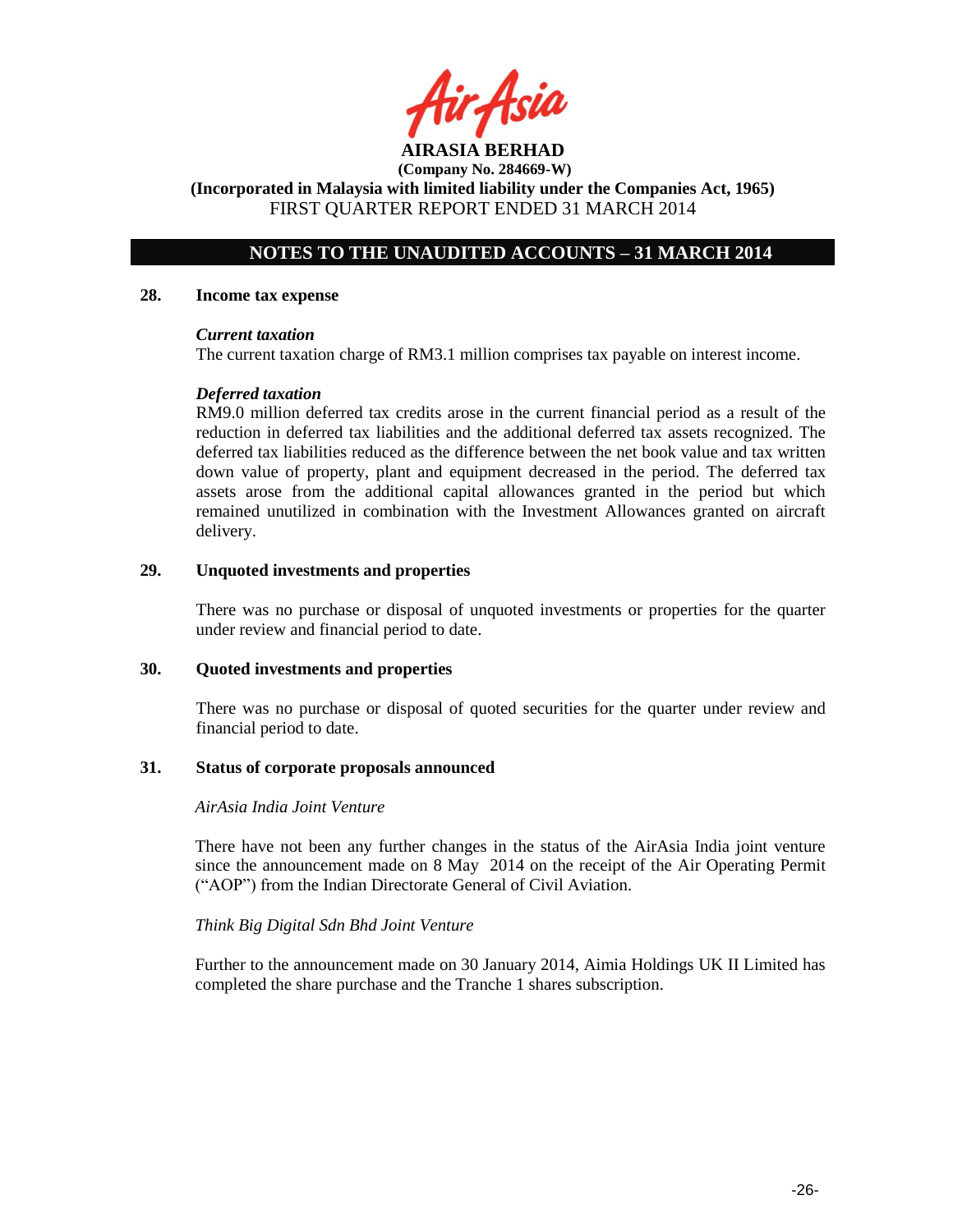**AIRASIA BERHAD (Company No. 284669-W) (Incorporated in Malaysia with limited liability under the Companies Act, 1965)**

FIRST QUARTER REPORT ENDED 31 MARCH 2014

# **NOTES TO THE UNAUDITED ACCOUNTS – 31 MARCH 2014**

### **28. Income tax expense**

### *Current taxation*

The current taxation charge of RM3.1 million comprises tax payable on interest income.

## *Deferred taxation*

RM9.0 million deferred tax credits arose in the current financial period as a result of the reduction in deferred tax liabilities and the additional deferred tax assets recognized. The deferred tax liabilities reduced as the difference between the net book value and tax written down value of property, plant and equipment decreased in the period. The deferred tax assets arose from the additional capital allowances granted in the period but which remained unutilized in combination with the Investment Allowances granted on aircraft delivery.

## **29. Unquoted investments and properties**

There was no purchase or disposal of unquoted investments or properties for the quarter under review and financial period to date.

## **30. Quoted investments and properties**

There was no purchase or disposal of quoted securities for the quarter under review and financial period to date.

#### **31. Status of corporate proposals announced**

### *AirAsia India Joint Venture*

There have not been any further changes in the status of the AirAsia India joint venture since the announcement made on 8 May 2014 on the receipt of the Air Operating Permit ("AOP") from the Indian Directorate General of Civil Aviation.

## *Think Big Digital Sdn Bhd Joint Venture*

Further to the announcement made on 30 January 2014, Aimia Holdings UK II Limited has completed the share purchase and the Tranche 1 shares subscription.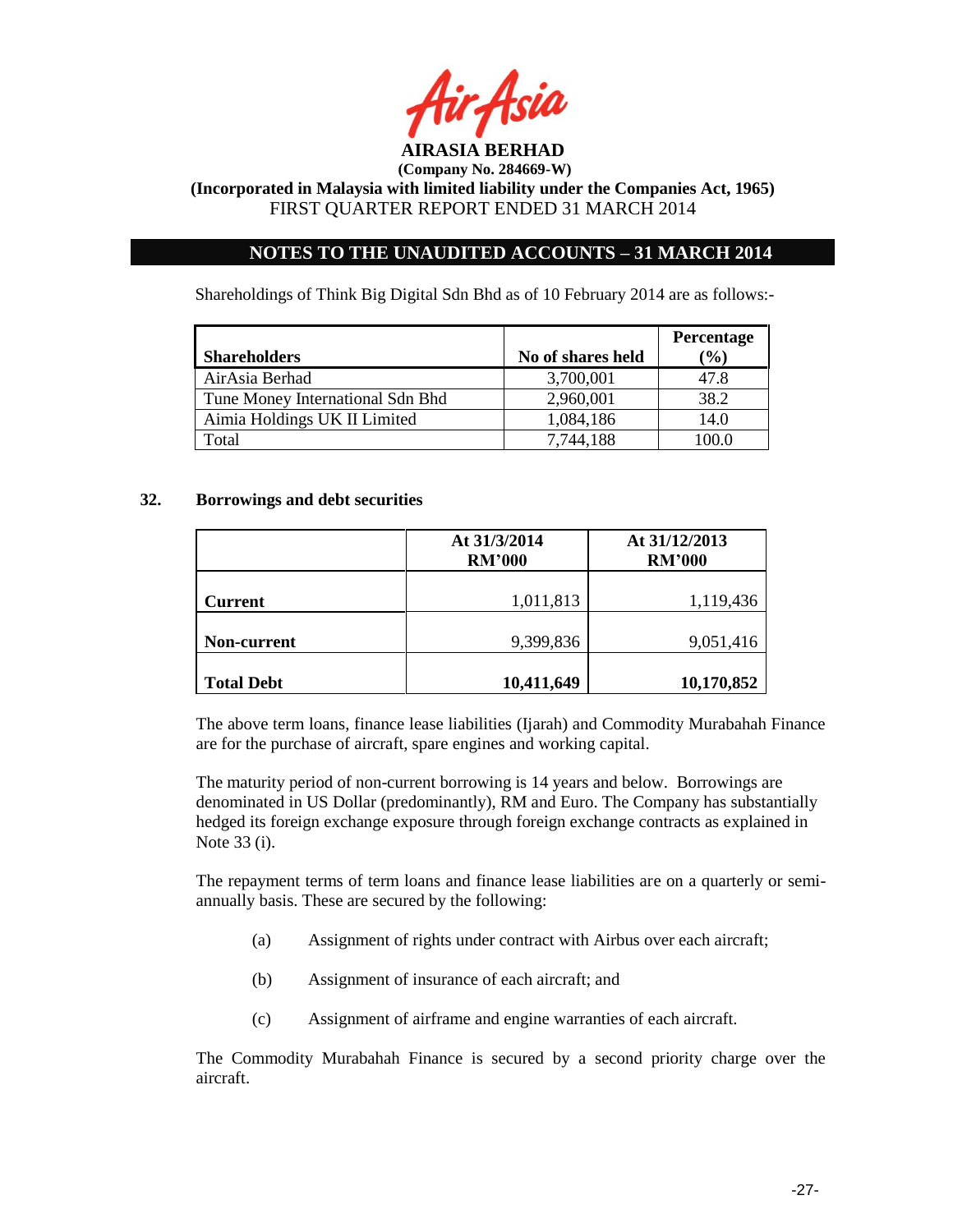

**(Incorporated in Malaysia with limited liability under the Companies Act, 1965)** FIRST QUARTER REPORT ENDED 31 MARCH 2014

# **NOTES TO THE UNAUDITED ACCOUNTS – 31 MARCH 2014**

Shareholdings of Think Big Digital Sdn Bhd as of 10 February 2014 are as follows:-

|                                  |                   | Percentage    |
|----------------------------------|-------------------|---------------|
| <b>Shareholders</b>              | No of shares held | $\frac{9}{6}$ |
| AirAsia Berhad                   | 3,700,001         | 47.8          |
| Tune Money International Sdn Bhd | 2,960,001         | 38.2          |
| Aimia Holdings UK II Limited     | 1,084,186         | 14.0          |
| Total                            | 7.744.188         | 100.0         |

### **32. Borrowings and debt securities**

|                    | At 31/3/2014<br><b>RM'000</b> | At 31/12/2013<br><b>RM'000</b> |  |
|--------------------|-------------------------------|--------------------------------|--|
| <b>Current</b>     | 1,011,813                     | 1,119,436                      |  |
| <b>Non-current</b> | 9,399,836                     | 9,051,416                      |  |
| <b>Total Debt</b>  | 10,411,649                    | 10,170,852                     |  |

The above term loans, finance lease liabilities (Ijarah) and Commodity Murabahah Finance are for the purchase of aircraft, spare engines and working capital.

The maturity period of non-current borrowing is 14 years and below. Borrowings are denominated in US Dollar (predominantly), RM and Euro. The Company has substantially hedged its foreign exchange exposure through foreign exchange contracts as explained in Note 33 (i).

The repayment terms of term loans and finance lease liabilities are on a quarterly or semiannually basis. These are secured by the following:

- (a) Assignment of rights under contract with Airbus over each aircraft;
- (b) Assignment of insurance of each aircraft; and
- (c) Assignment of airframe and engine warranties of each aircraft.

The Commodity Murabahah Finance is secured by a second priority charge over the aircraft.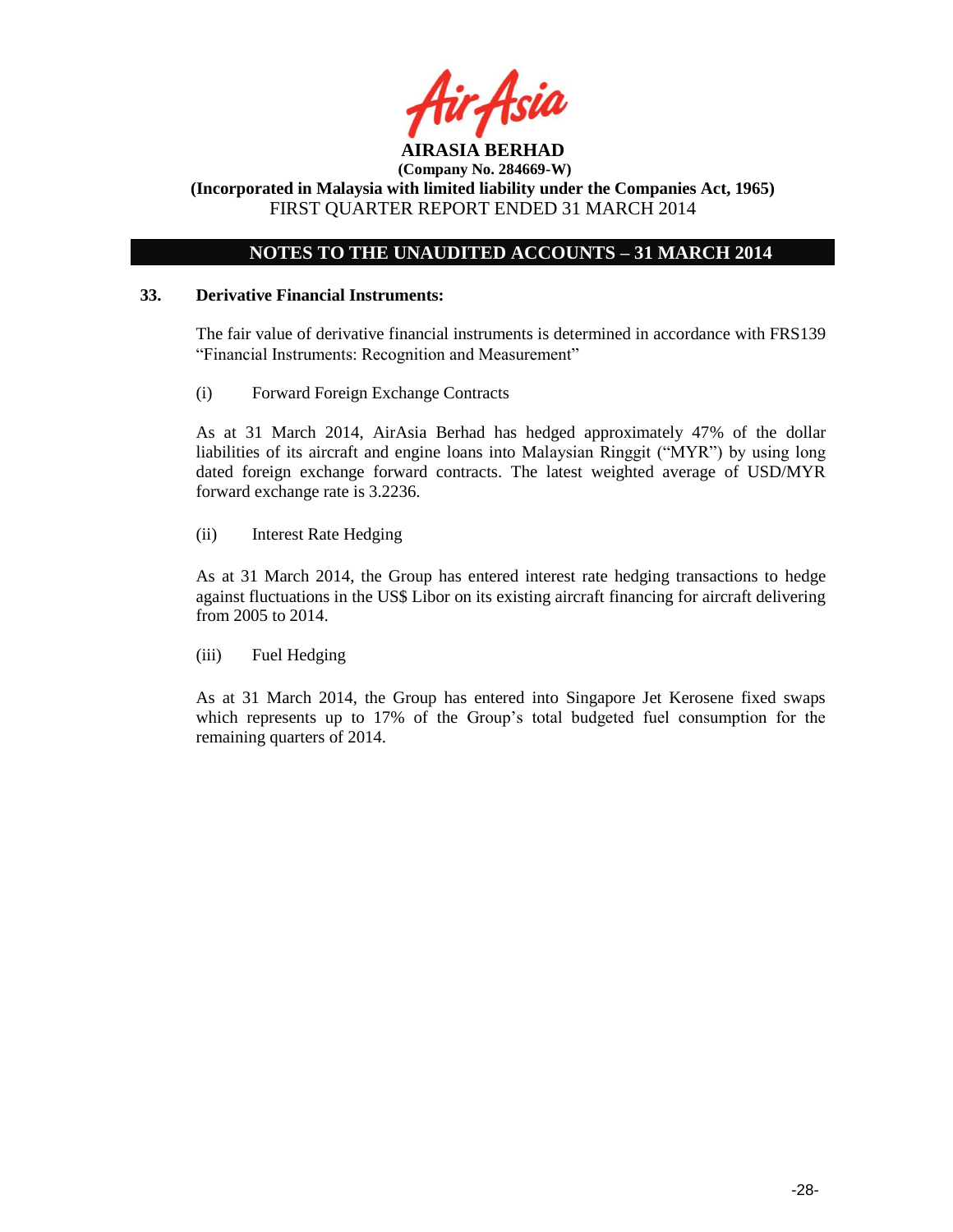

# **NOTES TO THE UNAUDITED ACCOUNTS – 31 MARCH 2014**

## **33. Derivative Financial Instruments:**

The fair value of derivative financial instruments is determined in accordance with FRS139 "Financial Instruments: Recognition and Measurement"

(i) Forward Foreign Exchange Contracts

As at 31 March 2014, AirAsia Berhad has hedged approximately 47% of the dollar liabilities of its aircraft and engine loans into Malaysian Ringgit ("MYR") by using long dated foreign exchange forward contracts. The latest weighted average of USD/MYR forward exchange rate is 3.2236.

(ii) Interest Rate Hedging

As at 31 March 2014, the Group has entered interest rate hedging transactions to hedge against fluctuations in the US\$ Libor on its existing aircraft financing for aircraft delivering from 2005 to 2014.

(iii) Fuel Hedging

As at 31 March 2014, the Group has entered into Singapore Jet Kerosene fixed swaps which represents up to 17% of the Group's total budgeted fuel consumption for the remaining quarters of 2014.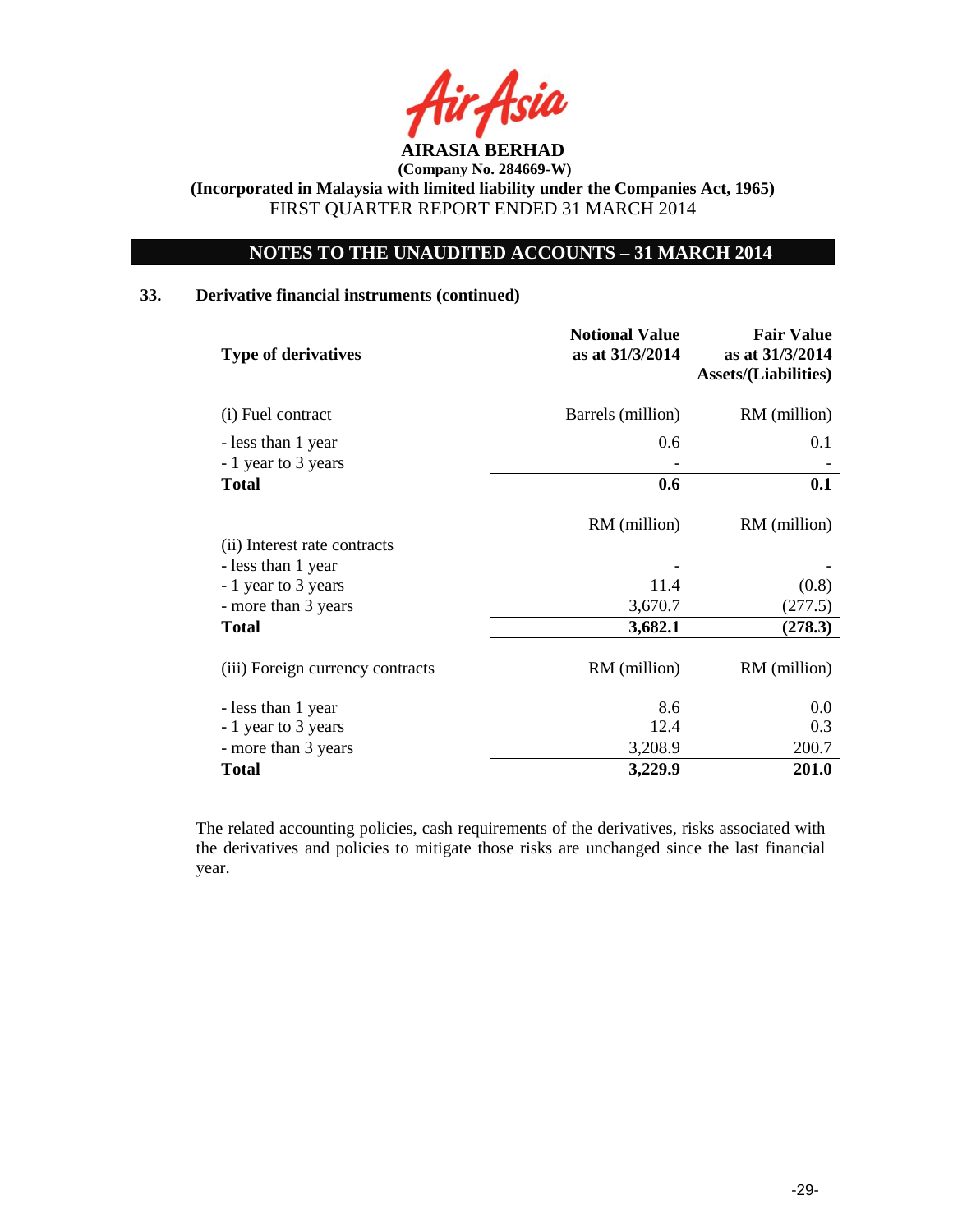

# **NOTES TO THE UNAUDITED ACCOUNTS – 31 MARCH 2014**

# **33. Derivative financial instruments (continued)**

| <b>Type of derivatives</b>       | <b>Notional Value</b><br>as at 31/3/2014 | <b>Fair Value</b><br>as at 31/3/2014<br><b>Assets/(Liabilities)</b> |
|----------------------------------|------------------------------------------|---------------------------------------------------------------------|
| (i) Fuel contract                | Barrels (million)                        | RM (million)                                                        |
| - less than 1 year               | 0.6                                      | 0.1                                                                 |
| - 1 year to 3 years              |                                          |                                                                     |
| <b>Total</b>                     | 0.6                                      | 0.1                                                                 |
| (ii) Interest rate contracts     | RM (million)                             | RM (million)                                                        |
| - less than 1 year               |                                          |                                                                     |
| - 1 year to 3 years              | 11.4                                     | (0.8)                                                               |
| - more than 3 years              | 3,670.7                                  | (277.5)                                                             |
| <b>Total</b>                     | 3,682.1                                  | (278.3)                                                             |
| (iii) Foreign currency contracts | RM (million)                             | RM (million)                                                        |
| - less than 1 year               | 8.6                                      | 0.0                                                                 |
| - 1 year to 3 years              | 12.4                                     | 0.3                                                                 |
| - more than 3 years              | 3,208.9                                  | 200.7                                                               |
| <b>Total</b>                     | 3,229.9                                  | 201.0                                                               |

The related accounting policies, cash requirements of the derivatives, risks associated with the derivatives and policies to mitigate those risks are unchanged since the last financial year.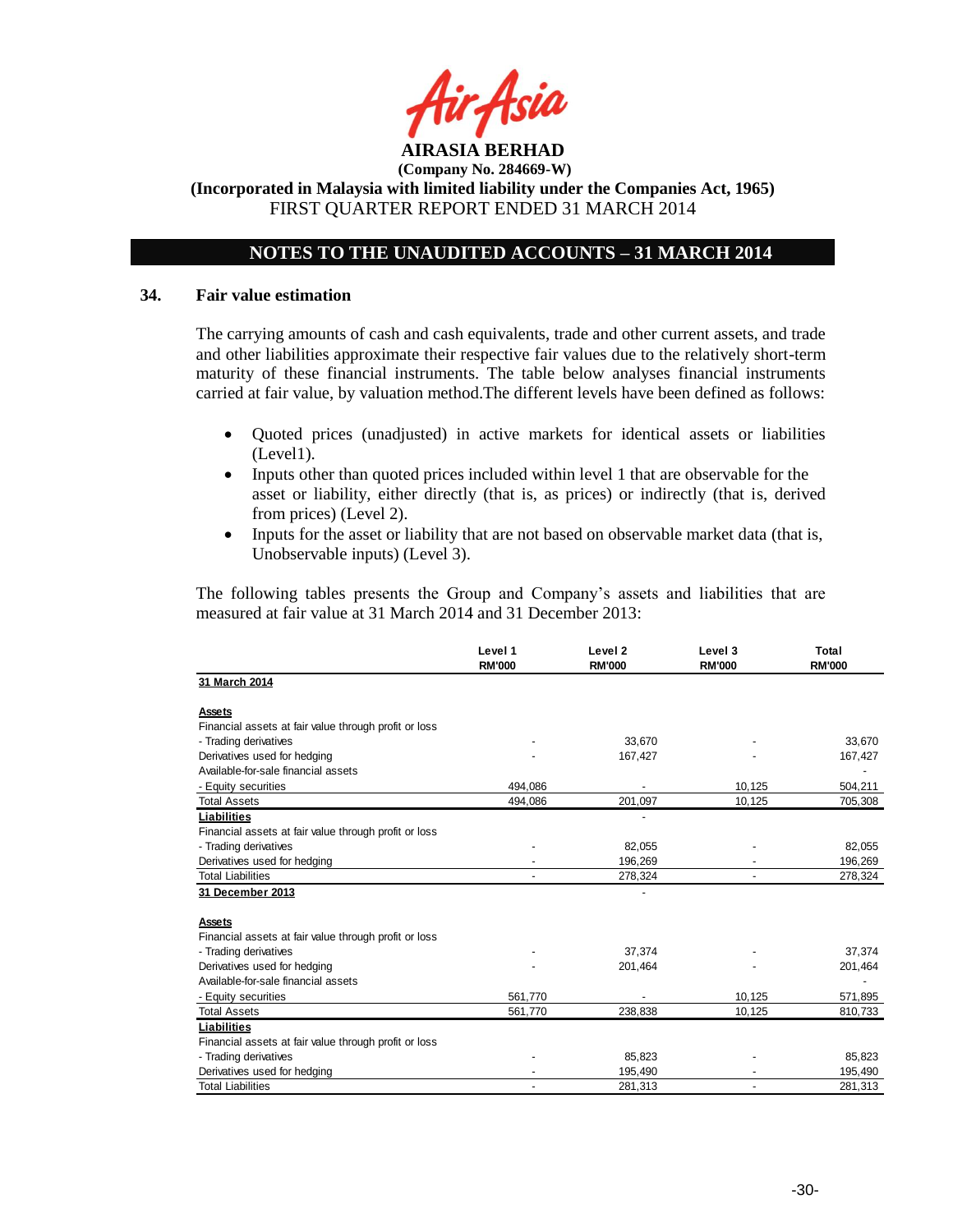

**(Incorporated in Malaysia with limited liability under the Companies Act, 1965)** FIRST QUARTER REPORT ENDED 31 MARCH 2014

# **NOTES TO THE UNAUDITED ACCOUNTS – 31 MARCH 2014**

#### **34. Fair value estimation**

The carrying amounts of cash and cash equivalents, trade and other current assets, and trade and other liabilities approximate their respective fair values due to the relatively short-term maturity of these financial instruments. The table below analyses financial instruments carried at fair value, by valuation method.The different levels have been defined as follows:

- Quoted prices (unadjusted) in active markets for identical assets or liabilities (Level1).
- Inputs other than quoted prices included within level 1 that are observable for the asset or liability, either directly (that is, as prices) or indirectly (that is, derived from prices) (Level 2).
- Inputs for the asset or liability that are not based on observable market data (that is, Unobservable inputs) (Level 3).

The following tables presents the Group and Company"s assets and liabilities that are measured at fair value at 31 March 2014 and 31 December 2013:

|                                                       | Level 1<br><b>RM'000</b> | Level <sub>2</sub><br><b>RM'000</b> | Level 3<br><b>RM'000</b> | Total<br><b>RM'000</b> |
|-------------------------------------------------------|--------------------------|-------------------------------------|--------------------------|------------------------|
| 31 March 2014                                         |                          |                                     |                          |                        |
| Assets                                                |                          |                                     |                          |                        |
| Financial assets at fair value through profit or loss |                          |                                     |                          |                        |
| - Trading derivatives                                 |                          | 33,670                              |                          | 33,670                 |
| Derivatives used for hedging                          |                          | 167,427                             |                          | 167,427                |
| Available-for-sale financial assets                   |                          |                                     |                          |                        |
| - Equity securities                                   | 494.086                  |                                     | 10,125                   | 504.211                |
| <b>Total Assets</b>                                   | 494,086                  | 201,097                             | 10,125                   | 705,308                |
| Liabilities                                           |                          |                                     |                          |                        |
| Financial assets at fair value through profit or loss |                          |                                     |                          |                        |
| - Trading derivatives                                 |                          | 82,055                              |                          | 82,055                 |
| Derivatives used for hedging                          |                          | 196.269                             |                          | 196,269                |
| <b>Total Liabilities</b>                              |                          | 278,324                             |                          | 278,324                |
| 31 December 2013                                      |                          |                                     |                          |                        |
| Assets                                                |                          |                                     |                          |                        |
| Financial assets at fair value through profit or loss |                          |                                     |                          |                        |
| - Trading derivatives                                 |                          | 37,374                              |                          | 37,374                 |
| Derivatives used for hedging                          |                          | 201,464                             |                          | 201,464                |
| Available-for-sale financial assets                   |                          |                                     |                          |                        |
| - Equity securities                                   | 561,770                  |                                     | 10,125                   | 571,895                |
| <b>Total Assets</b>                                   | 561,770                  | 238,838                             | 10,125                   | 810,733                |
| Liabilities                                           |                          |                                     |                          |                        |
| Financial assets at fair value through profit or loss |                          |                                     |                          |                        |
| - Trading derivatives                                 |                          | 85,823                              |                          | 85,823                 |
| Derivatives used for hedging                          |                          | 195,490                             |                          | 195,490                |
| <b>Total Liabilities</b>                              |                          | 281,313                             |                          | 281,313                |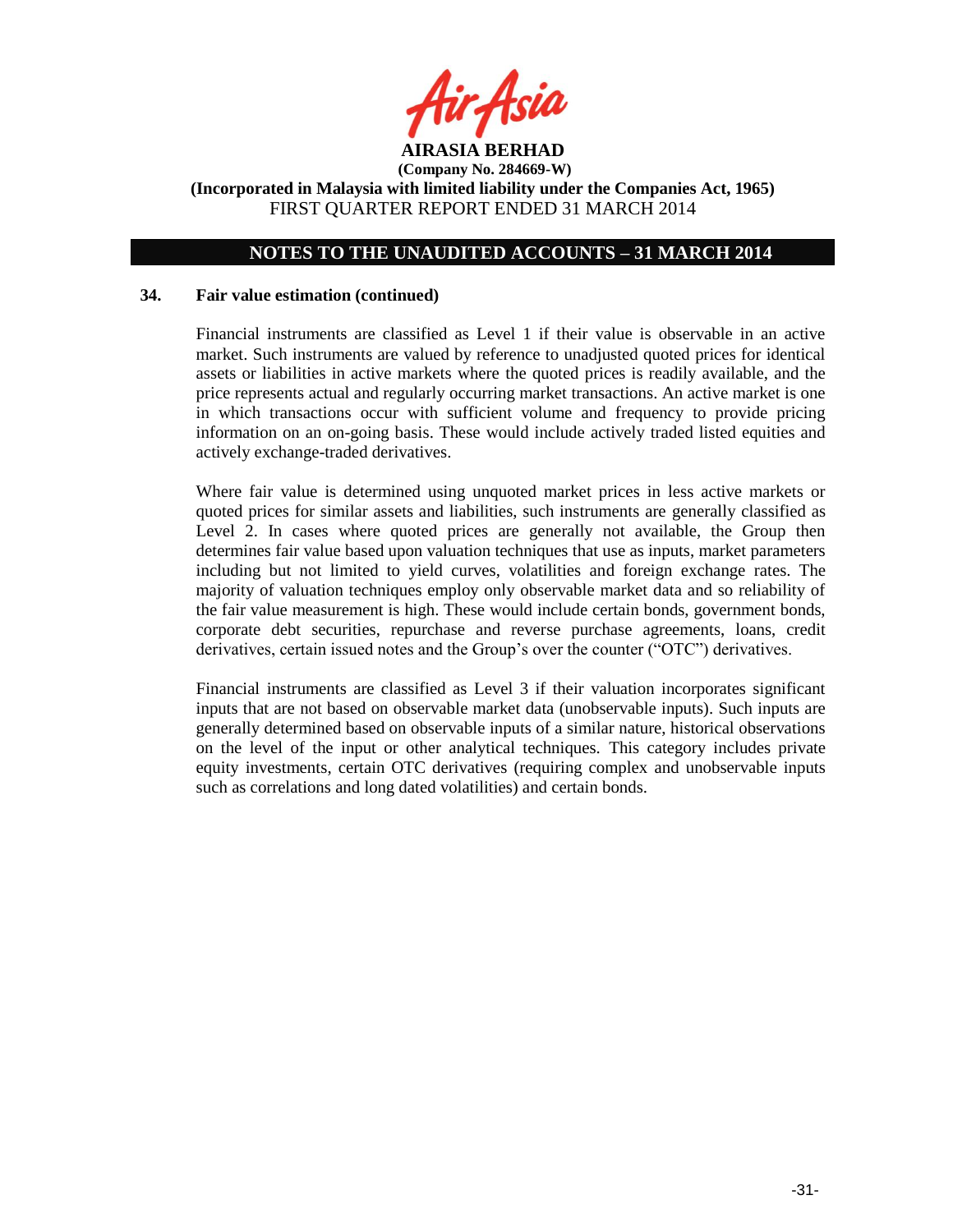

# **NOTES TO THE UNAUDITED ACCOUNTS – 31 MARCH 2014**

### **34. Fair value estimation (continued)**

Financial instruments are classified as Level 1 if their value is observable in an active market. Such instruments are valued by reference to unadjusted quoted prices for identical assets or liabilities in active markets where the quoted prices is readily available, and the price represents actual and regularly occurring market transactions. An active market is one in which transactions occur with sufficient volume and frequency to provide pricing information on an on-going basis. These would include actively traded listed equities and actively exchange-traded derivatives.

Where fair value is determined using unquoted market prices in less active markets or quoted prices for similar assets and liabilities, such instruments are generally classified as Level 2. In cases where quoted prices are generally not available, the Group then determines fair value based upon valuation techniques that use as inputs, market parameters including but not limited to yield curves, volatilities and foreign exchange rates. The majority of valuation techniques employ only observable market data and so reliability of the fair value measurement is high. These would include certain bonds, government bonds, corporate debt securities, repurchase and reverse purchase agreements, loans, credit derivatives, certain issued notes and the Group"s over the counter ("OTC") derivatives.

Financial instruments are classified as Level 3 if their valuation incorporates significant inputs that are not based on observable market data (unobservable inputs). Such inputs are generally determined based on observable inputs of a similar nature, historical observations on the level of the input or other analytical techniques. This category includes private equity investments, certain OTC derivatives (requiring complex and unobservable inputs such as correlations and long dated volatilities) and certain bonds.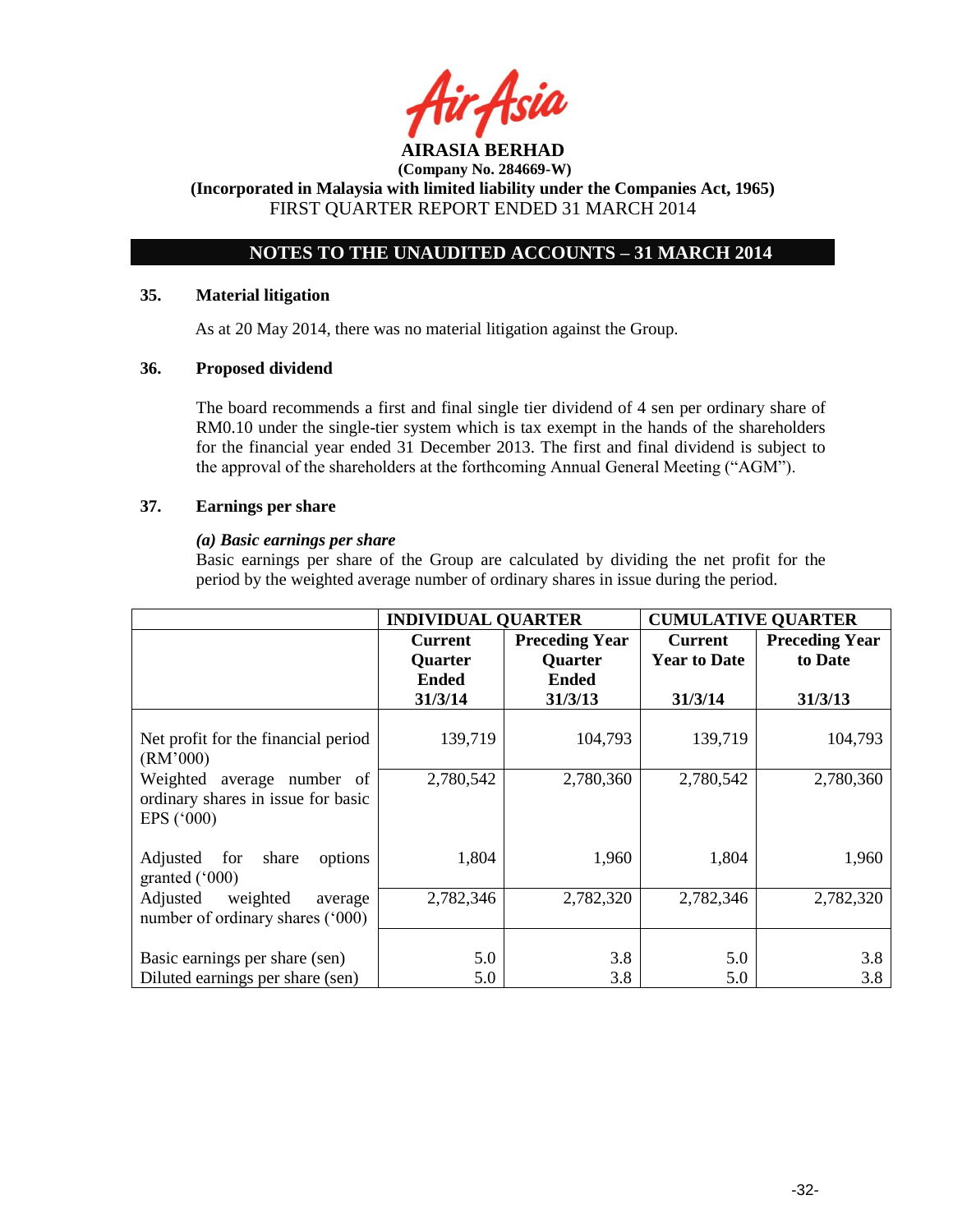

# **NOTES TO THE UNAUDITED ACCOUNTS – 31 MARCH 2014**

## **35. Material litigation**

As at 20 May 2014, there was no material litigation against the Group.

# **36. Proposed dividend**

The board recommends a first and final single tier dividend of 4 sen per ordinary share of RM0.10 under the single-tier system which is tax exempt in the hands of the shareholders for the financial year ended 31 December 2013. The first and final dividend is subject to the approval of the shareholders at the forthcoming Annual General Meeting ("AGM").

## **37. Earnings per share**

## *(a) Basic earnings per share*

Basic earnings per share of the Group are calculated by dividing the net profit for the period by the weighted average number of ordinary shares in issue during the period.

|                                                                                            | <b>INDIVIDUAL QUARTER</b>                                   |                                                                    | <b>CUMULATIVE QUARTER</b>                        |                                             |
|--------------------------------------------------------------------------------------------|-------------------------------------------------------------|--------------------------------------------------------------------|--------------------------------------------------|---------------------------------------------|
|                                                                                            | <b>Current</b><br><b>Quarter</b><br><b>Ended</b><br>31/3/14 | <b>Preceding Year</b><br><b>Quarter</b><br><b>Ended</b><br>31/3/13 | <b>Current</b><br><b>Year to Date</b><br>31/3/14 | <b>Preceding Year</b><br>to Date<br>31/3/13 |
| Net profit for the financial period<br>(RM'000)                                            | 139,719                                                     | 104,793                                                            | 139,719                                          | 104,793                                     |
| Weighted<br>average number of<br>ordinary shares in issue for basic<br>EPS $(^{\circ}000)$ | 2,780,542                                                   | 2,780,360                                                          | 2,780,542                                        | 2,780,360                                   |
| Adjusted<br>for<br>share<br>options<br>granted $(000)$                                     | 1,804                                                       | 1,960                                                              | 1,804                                            | 1,960                                       |
| Adjusted<br>weighted<br>average<br>number of ordinary shares ('000)                        | 2,782,346                                                   | 2,782,320                                                          | 2,782,346                                        | 2,782,320                                   |
| Basic earnings per share (sen)<br>Diluted earnings per share (sen)                         | 5.0<br>5.0                                                  | 3.8<br>3.8                                                         | 5.0<br>5.0                                       | 3.8<br>3.8                                  |